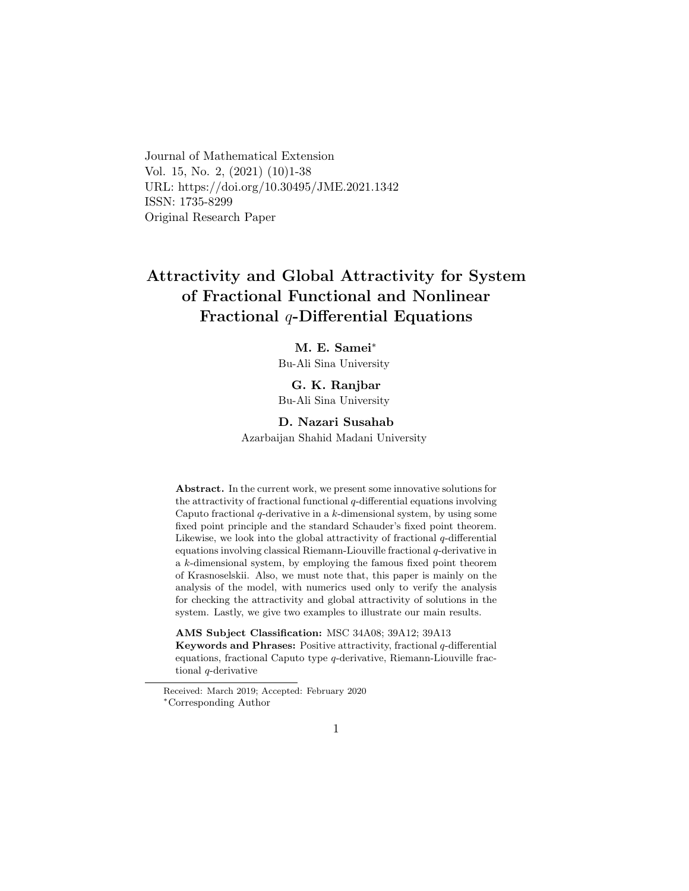Journal of Mathematical Extension Vol. 15, No. 2, (2021) (10)1-38 URL: https://doi.org/10.30495/JME.2021.1342 ISSN: 1735-8299 Original Research Paper

# Attractivity and Global Attractivity for System of Fractional Functional and Nonlinear Fractional  $q$ -Differential Equations

### M. E. Samei[∗](#page-0-0)

Bu-Ali Sina University

### G. K. Ranjbar

Bu-Ali Sina University

#### D. Nazari Susahab

Azarbaijan Shahid Madani University

Abstract. In the current work, we present some innovative solutions for the attractivity of fractional functional  $q$ -differential equations involving Caputo fractional  $q$ -derivative in a  $k$ -dimensional system, by using some fixed point principle and the standard Schauder's fixed point theorem. Likewise, we look into the global attractivity of fractional  $q$ -differential equations involving classical Riemann-Liouville fractional q-derivative in a k-dimensional system, by employing the famous fixed point theorem of Krasnoselskii. Also, we must note that, this paper is mainly on the analysis of the model, with numerics used only to verify the analysis for checking the attractivity and global attractivity of solutions in the system. Lastly, we give two examples to illustrate our main results.

AMS Subject Classification: MSC 34A08; 39A12; 39A13 Keywords and Phrases: Positive attractivity, fractional  $q$ -differential equations, fractional Caputo type  $q$ -derivative, Riemann-Liouville fractional q-derivative

<span id="page-0-0"></span>Received: March 2019; Accepted: February 2020 <sup>∗</sup>Corresponding Author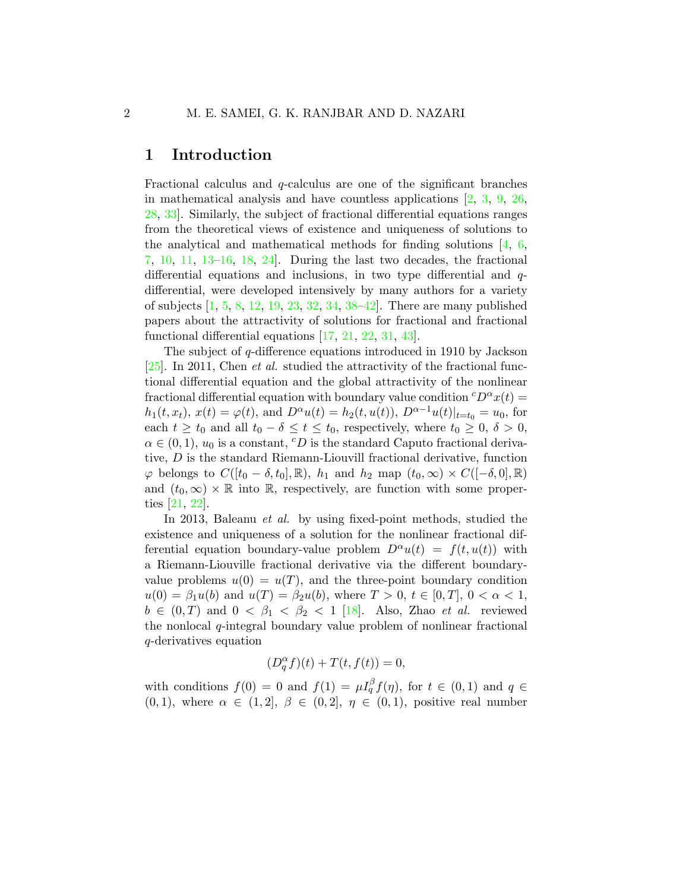## 1 Introduction

Fractional calculus and q-calculus are one of the significant branches in mathematical analysis and have countless applications  $[2, 3, 9, 26,$  $[2, 3, 9, 26,$  $[2, 3, 9, 26,$  $[2, 3, 9, 26,$  $[2, 3, 9, 26,$  $[2, 3, 9, 26,$ [28,](#page-35-1) [33\]](#page-36-0). Similarly, the subject of fractional differential equations ranges from the theoretical views of existence and uniqueness of solutions to the analytical and mathematical methods for finding solutions  $\left[4, 6, \right]$  $\left[4, 6, \right]$  $\left[4, 6, \right]$ [7,](#page-33-4) [10,](#page-34-1) [11,](#page-34-2) [13–](#page-34-3)[16,](#page-34-4) [18,](#page-34-5) [24\]](#page-35-2). During the last two decades, the fractional differential equations and inclusions, in two type differential and  $q$ differential, were developed intensively by many authors for a variety of subjects [\[1,](#page-33-5) [5,](#page-33-6) [8,](#page-34-6) [12,](#page-34-7) [19,](#page-35-3) [23,](#page-35-4) [32,](#page-36-1) [34,](#page-36-2) [38–](#page-36-3)[42\]](#page-37-0). There are many published papers about the attractivity of solutions for fractional and fractional functional differential equations [\[17,](#page-34-8) [21,](#page-35-5) [22,](#page-35-6) [31,](#page-36-4) [43\]](#page-37-1).

The subject of q-difference equations introduced in 1910 by Jackson [\[25\]](#page-35-7). In 2011, Chen *et al.* studied the attractivity of the fractional functional differential equation and the global attractivity of the nonlinear fractional differential equation with boundary value condition  ${}^cD^{\alpha}x(t) =$  $h_1(t, x_t)$ ,  $x(t) = \varphi(t)$ , and  $D^{\alpha}u(t) = h_2(t, u(t))$ ,  $D^{\alpha-1}u(t)|_{t=t_0} = u_0$ , for each  $t \geq t_0$  and all  $t_0 - \delta \leq t \leq t_0$ , respectively, where  $t_0 \geq 0$ ,  $\delta > 0$ ,  $\alpha \in (0,1)$ ,  $u_0$  is a constant, <sup>c</sup>D is the standard Caputo fractional derivative, D is the standard Riemann-Liouvill fractional derivative, function  $\varphi$  belongs to  $C([t_0 - \delta, t_0], \mathbb{R})$ ,  $h_1$  and  $h_2$  map  $(t_0, \infty) \times C([-\delta, 0], \mathbb{R})$ and  $(t_0, \infty) \times \mathbb{R}$  into  $\mathbb{R}$ , respectively, are function with some properties [\[21,](#page-35-5) [22\]](#page-35-6).

In 2013, Baleanu et al. by using fixed-point methods, studied the existence and uniqueness of a solution for the nonlinear fractional differential equation boundary-value problem  $D^{\alpha}u(t) = f(t, u(t))$  with a Riemann-Liouville fractional derivative via the different boundaryvalue problems  $u(0) = u(T)$ , and the three-point boundary condition  $u(0) = \beta_1 u(b)$  and  $u(T) = \beta_2 u(b)$ , where  $T > 0$ ,  $t \in [0, T]$ ,  $0 < \alpha < 1$ ,  $b \in (0, T)$  and  $0 < \beta_1 < \beta_2 < 1$  [\[18\]](#page-34-5). Also, Zhao *et al.* reviewed the nonlocal  $q$ -integral boundary value problem of nonlinear fractional q-derivatives equation

$$
(D_q^{\alpha}f)(t) + T(t, f(t)) = 0,
$$

with conditions  $f(0) = 0$  and  $f(1) = \mu I_q^{\beta} f(\eta)$ , for  $t \in (0,1)$  and  $q \in$  $(0, 1)$ , where  $\alpha \in (1, 2], \beta \in (0, 2], \eta \in (0, 1)$ , positive real number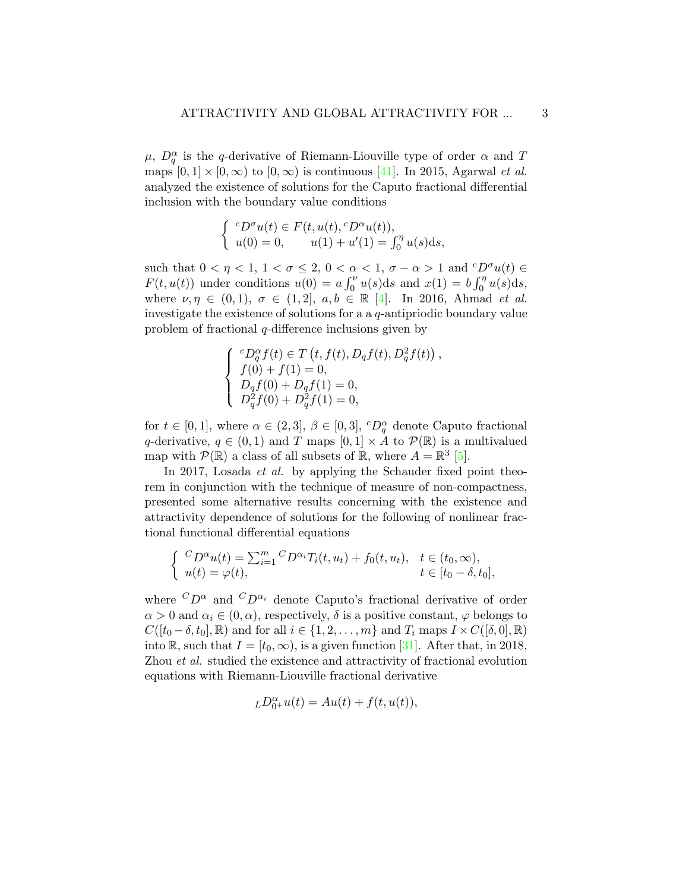$\mu$ ,  $D_q^{\alpha}$  is the q-derivative of Riemann-Liouville type of order  $\alpha$  and T maps  $[0, 1] \times [0, \infty)$  to  $[0, \infty)$  is continuous [\[41\]](#page-36-5). In 2015, Agarwal *et al.* analyzed the existence of solutions for the Caputo fractional differential inclusion with the boundary value conditions

$$
\begin{cases}\n^c D^{\sigma}u(t) \in F(t, u(t), {}^c D^{\alpha}u(t)), \\
u(0) = 0, \quad u(1) + u'(1) = \int_0^{\eta} u(s) \, ds,\n\end{cases}
$$

such that  $0 < \eta < 1$ ,  $1 < \sigma \leq 2$ ,  $0 < \alpha < 1$ ,  $\sigma - \alpha > 1$  and  ${}^cD^{\sigma}u(t) \in$  $F(t, u(t))$  under conditions  $u(0) = a \int_0^{\nu} u(s) ds$  and  $x(1) = b \int_0^{\eta} u(s) ds$ , where  $\nu, \eta \in (0,1), \sigma \in (1,2], a, b \in \mathbb{R}$  [\[4\]](#page-33-2). In 2016, Ahmad *et al.* investigate the existence of solutions for a a q-antipriodic boundary value problem of fractional q-difference inclusions given by

$$
\left\{\begin{array}{l} ^{c}D_{q}^{\alpha }f(t)\in T\left( t,f(t),D_{q}f(t),D_{q}^{2}f(t)\right) ,\\ f(0)+f(1)=0,\\ D_{q}f(0)+D_{q}f(1)=0,\\ D_{q}^{2}f(0)+D_{q}^{2}f(1)=0, \end{array}\right.
$$

for  $t \in [0,1]$ , where  $\alpha \in (2,3], \beta \in [0,3], {}^{c}D_{q}^{\alpha}$  denote Caputo fractional q-derivative,  $q \in (0,1)$  and T maps  $[0,1] \times A$  to  $\mathcal{P}(\mathbb{R})$  is a multivalued map with  $P(\mathbb{R})$  a class of all subsets of  $\mathbb{R}$ , where  $A = \mathbb{R}^3$  [\[5\]](#page-33-6).

In 2017, Losada et al. by applying the Schauder fixed point theorem in conjunction with the technique of measure of non-compactness, presented some alternative results concerning with the existence and attractivity dependence of solutions for the following of nonlinear fractional functional differential equations

$$
\begin{cases}\n C_D^{\alpha} u(t) = \sum_{i=1}^m C_D^{\alpha_i} T_i(t, u_t) + f_0(t, u_t), & t \in (t_0, \infty), \\
 u(t) = \varphi(t), & t \in [t_0 - \delta, t_0],\n\end{cases}
$$

where  ${}^C D^{\alpha}$  and  ${}^C D^{\alpha_i}$  denote Caputo's fractional derivative of order  $\alpha > 0$  and  $\alpha_i \in (0, \alpha)$ , respectively,  $\delta$  is a positive constant,  $\varphi$  belongs to  $C([t_0 - \delta, t_0], \mathbb{R})$  and for all  $i \in \{1, 2, \ldots, m\}$  and  $T_i$  maps  $I \times C([\delta, 0], \mathbb{R})$ into R, such that  $I = [t_0, \infty)$ , is a given function [\[31\]](#page-36-4). After that, in 2018, Zhou et al. studied the existence and attractivity of fractional evolution equations with Riemann-Liouville fractional derivative

$$
L D_{0^+}^{\alpha} u(t) = Au(t) + f(t, u(t)),
$$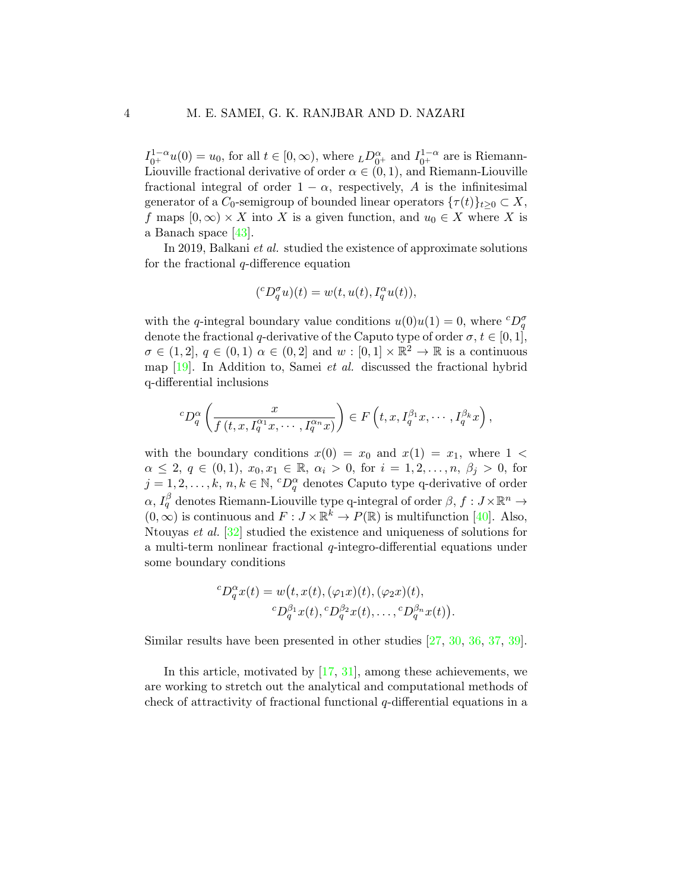$I_{0^+}^{1-\alpha}u(0) = u_0$ , for all  $t \in [0, \infty)$ , where  $_LD_{0^+}^{\alpha}$  and  $I_{0^+}^{1-\alpha}$  are is Riemann-Liouville fractional derivative of order  $\alpha \in (0,1)$ , and Riemann-Liouville fractional integral of order  $1 - \alpha$ , respectively, A is the infinitesimal generator of a  $C_0$ -semigroup of bounded linear operators  $\{\tau(t)\}_{t\geq0}\subset X$ , f maps  $[0, \infty) \times X$  into X is a given function, and  $u_0 \in X$  where X is a Banach space [\[43\]](#page-37-1).

In 2019, Balkani et al. studied the existence of approximate solutions for the fractional q-difference equation

$$
({}^cD_q^{\sigma}u)(t) = w(t, u(t), I_q^{\alpha}u(t)),
$$

with the q-integral boundary value conditions  $u(0)u(1) = 0$ , where  ${}^cD_q^{\sigma}$ denote the fractional q-derivative of the Caputo type of order  $\sigma, t \in [0,1]$ ,  $\sigma \in (1,2], q \in (0,1)$   $\alpha \in (0,2]$  and  $w : [0,1] \times \mathbb{R}^2 \to \mathbb{R}$  is a continuous map  $[19]$ . In Addition to, Samei *et al.* discussed the fractional hybrid q-differential inclusions

$$
{}^{c}D_q^{\alpha}\left(\frac{x}{f(t,x,I_q^{\alpha_1}x,\cdots,I_q^{\alpha_n}x)}\right)\in F\left(t,x,I_q^{\beta_1}x,\cdots,I_q^{\beta_k}x\right),
$$

with the boundary conditions  $x(0) = x_0$  and  $x(1) = x_1$ , where 1 <  $\alpha \leq 2, q \in (0,1), x_0, x_1 \in \mathbb{R}, \alpha_i > 0, \text{ for } i = 1, 2, \ldots, n, \beta_j > 0, \text{ for }$  $j = 1, 2, \ldots, k, n, k \in \mathbb{N}, \ ^cD_q^{\alpha}$  denotes Caputo type q-derivative of order  $\alpha, I_q^\beta$  denotes Riemann-Liouville type q-integral of order  $\beta, f: J \times \mathbb{R}^n \to$  $(0, \infty)$  is continuous and  $F: J \times \mathbb{R}^k \to P(\mathbb{R})$  is multifunction [\[40\]](#page-36-6). Also, Ntouyas et al. [\[32\]](#page-36-1) studied the existence and uniqueness of solutions for a multi-term nonlinear fractional  $q$ -integro-differential equations under some boundary conditions

$$
{}^cD_q^{\alpha}x(t) = w(t, x(t), (\varphi_1 x)(t), (\varphi_2 x)(t),
$$
  

$$
{}^cD_q^{\beta_1}x(t), {}^cD_q^{\beta_2}x(t), \dots, {}^cD_q^{\beta_n}x(t)).
$$

Similar results have been presented in other studies [\[27,](#page-35-8) [30,](#page-35-9) [36,](#page-36-7) [37,](#page-36-8) [39\]](#page-36-9).

In this article, motivated by [\[17,](#page-34-8) [31\]](#page-36-4), among these achievements, we are working to stretch out the analytical and computational methods of check of attractivity of fractional functional q-differential equations in a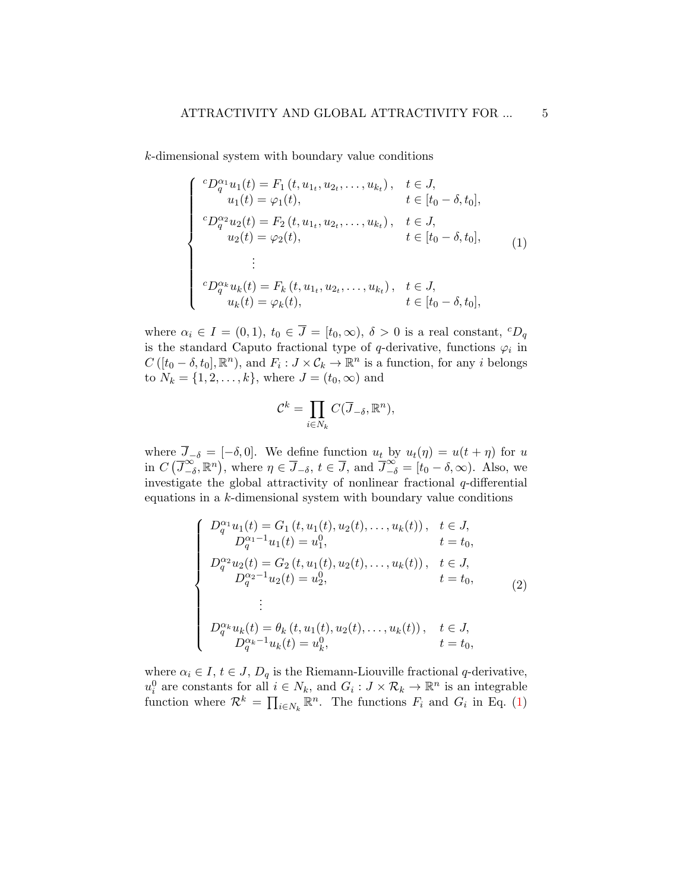k-dimensional system with boundary value conditions

<span id="page-4-0"></span>
$$
\begin{cases}\nc_{D_q^{\alpha_1}u_1}(t) = F_1(t, u_1, u_2, \dots, u_{k_t}), & t \in J, \\
u_1(t) = \varphi_1(t), & t \in [t_0 - \delta, t_0], \\
c_{D_q^{\alpha_2}u_2}(t) = F_2(t, u_1, u_2, \dots, u_{k_t}), & t \in J, \\
u_2(t) = \varphi_2(t), & t \in [t_0 - \delta, t_0], \\
\vdots \\
c_{D_q^{\alpha_k}u_k}(t) = F_k(t, u_1, u_2, \dots, u_{k_t}), & t \in J, \\
u_k(t) = \varphi_k(t), & t \in [t_0 - \delta, t_0],\n\end{cases} (1)
$$

where  $\alpha_i \in I = (0,1)$ ,  $t_0 \in \overline{J} = [t_0,\infty)$ ,  $\delta > 0$  is a real constant,  ${}^cD_q$ is the standard Caputo fractional type of q-derivative, functions  $\varphi_i$  in  $C([t_0-\delta,t_0],\mathbb{R}^n)$ , and  $F_i: J \times C_k \to \mathbb{R}^n$  is a function, for any i belongs to  $N_k = \{1, 2, ..., k\}$ , where  $J = (t_0, \infty)$  and

$$
\mathcal{C}^k = \prod_{i \in N_k} C(\overline{J}_{-\delta}, \mathbb{R}^n),
$$

where  $J_{-\delta} = [-\delta, 0]$ . We define function  $u_t$  by  $u_t(\eta) = u(t + \eta)$  for u in  $C\left(\overline{J}_{-d}^{\infty}\right)$  $(\infty, \infty)$ , where  $\eta \in \overline{J}_{-\delta}, t \in \overline{J}$ , and  $\overline{J}^{\infty}_{-\delta} = [t_0 - \delta, \infty)$ . Also, we investigate the global attractivity of nonlinear fractional  $q$ -differential equations in a  $k$ -dimensional system with boundary value conditions

<span id="page-4-1"></span>
$$
\begin{cases}\nD_q^{\alpha_1}u_1(t) = G_1(t, u_1(t), u_2(t), \dots, u_k(t)), & t \in J, \\
D_q^{\alpha_1-1}u_1(t) = u_1^0, & t = t_0, \\
D_q^{\alpha_2}u_2(t) = G_2(t, u_1(t), u_2(t), \dots, u_k(t)), & t \in J, \\
D_q^{\alpha_2-1}u_2(t) = u_2^0, & t = t_0, \\
\vdots \\
D_q^{\alpha_k}u_k(t) = \theta_k(t, u_1(t), u_2(t), \dots, u_k(t)), & t \in J, \\
D_q^{\alpha_k-1}u_k(t) = u_k^0, & t = t_0,\n\end{cases}
$$
\n(2)

where  $\alpha_i \in I$ ,  $t \in J$ ,  $D_q$  is the Riemann-Liouville fractional q-derivative,  $u_i^0$  are constants for all  $i \in N_k$ , and  $G_i: J \times \mathcal{R}_k \to \mathbb{R}^n$  is an integrable function where  $\mathcal{R}^k = \prod_{i \in N_k} \mathbb{R}^n$ . The functions  $F_i$  and  $G_i$  in Eq. [\(1\)](#page-4-0)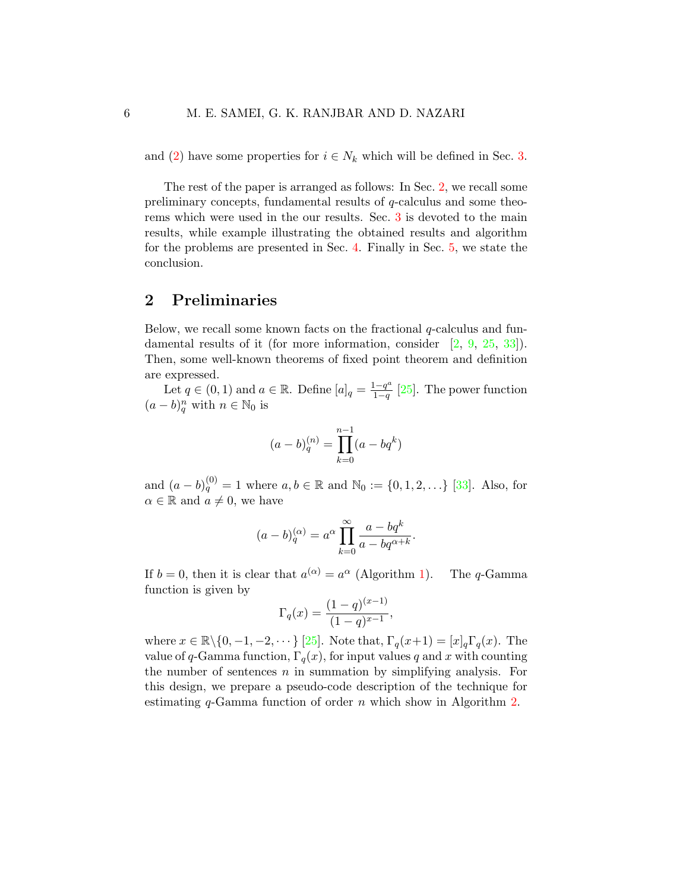and [\(2\)](#page-4-1) have some properties for  $i \in N_k$  which will be defined in Sec. [3.](#page-9-0)

The rest of the paper is arranged as follows: In Sec. [2,](#page-5-0) we recall some preliminary concepts, fundamental results of q-calculus and some theorems which were used in the our results. Sec. [3](#page-9-0) is devoted to the main results, while example illustrating the obtained results and algorithm for the problems are presented in Sec. [4.](#page-25-0) Finally in Sec. [5,](#page-32-0) we state the conclusion.

### <span id="page-5-0"></span>2 Preliminaries

Below, we recall some known facts on the fractional  $q$ -calculus and fun-damental results of it (for more information, consider [\[2,](#page-33-0) [9,](#page-34-0) [25,](#page-35-7) [33\]](#page-36-0)). Then, some well-known theorems of fixed point theorem and definition are expressed.

Let  $q \in (0,1)$  and  $a \in \mathbb{R}$ . Define  $[a]_q = \frac{1-q^a}{1-q}$  $\frac{1-q^{\alpha}}{1-q}$  [\[25\]](#page-35-7). The power function  $(a - b)_q^n$  with  $n \in \mathbb{N}_0$  is

$$
(a - b)_{q}^{(n)} = \prod_{k=0}^{n-1} (a - bq^k)
$$

and  $(a - b)_q^{(0)} = 1$  where  $a, b \in \mathbb{R}$  and  $\mathbb{N}_0 := \{0, 1, 2, \ldots\}$  [\[33\]](#page-36-0). Also, for  $\alpha \in \mathbb{R}$  and  $a \neq 0$ , we have

$$
(a - b)_q^{(\alpha)} = a^{\alpha} \prod_{k=0}^{\infty} \frac{a - bq^k}{a - bq^{\alpha + k}}.
$$

If  $b = 0$ , then it is clear that  $a^{(\alpha)} = a^{\alpha}$  (Algorithm [1\)](#page-6-0). The q-Gamma function is given by

$$
\Gamma_q(x) = \frac{(1-q)^{(x-1)}}{(1-q)^{x-1}},
$$

where  $x \in \mathbb{R} \setminus \{0, -1, -2, \dots\}$  [\[25\]](#page-35-7). Note that,  $\Gamma_q(x+1) = [x]_q \Gamma_q(x)$ . The value of q-Gamma function,  $\Gamma_q(x)$ , for input values q and x with counting the number of sentences  $n$  in summation by simplifying analysis. For this design, we prepare a pseudo-code description of the technique for estimating  $q$ -Gamma function of order  $n$  which show in Algorithm [2.](#page-6-1)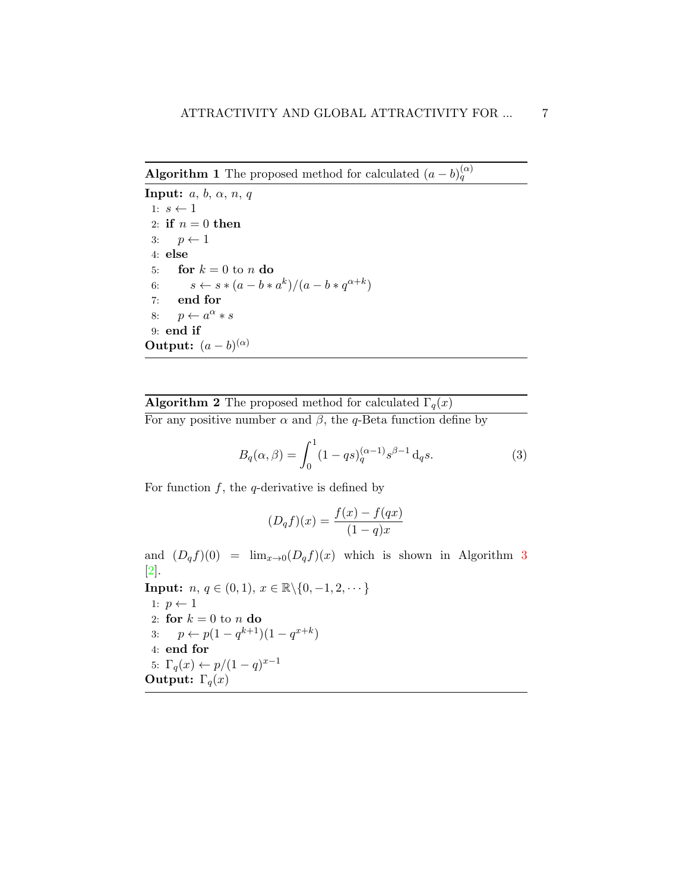<span id="page-6-0"></span>**Algorithm 1** The proposed method for calculated  $(a - b)_{q}^{(\alpha)}$ 

Input:  $a, b, \alpha, n, q$ 1:  $s \leftarrow 1$ 2: if  $n = 0$  then 3:  $p \leftarrow 1$ 4: else 5: for  $k = 0$  to n do 6:  $s \leftarrow s * (a - b * a^k) / (a - b * q^{\alpha + k})$ 7: end for 8:  $p \leftarrow a^{\alpha} * s$ 9: end if **Output:**  $(a-b)^{(\alpha)}$ 

# **Algorithm 2** The proposed method for calculated  $\Gamma_q(x)$

For any positive number  $\alpha$  and  $\beta$ , the q-Beta function define by

<span id="page-6-1"></span>
$$
B_q(\alpha, \beta) = \int_0^1 (1 - qs)_q^{(\alpha - 1)} s^{\beta - 1} \, \mathrm{d}_q s. \tag{3}
$$

For function  $f$ , the  $q$ -derivative is defined by

$$
(D_q f)(x) = \frac{f(x) - f(qx)}{(1 - q)x}
$$

and  $(D_q f)(0) = \lim_{x\to 0} (D_q f)(x)$  which is shown in Algorithm [3](#page-7-0) [\[2\]](#page-33-0).

**Input:** *n*, *q* ∈ (0, 1), *x* ∈  $\mathbb{R}\setminus\{0, -1, 2, \cdots\}$ 1:  $p \leftarrow 1$ 2: for  $k = 0$  to n do 3:  $p \leftarrow p(1 - q^{k+1})(1 - q^{x+k})$ 4: end for 5:  $\Gamma_q(x) \leftarrow p/(1-q)^{x-1}$ **Output:**  $\Gamma_q(x)$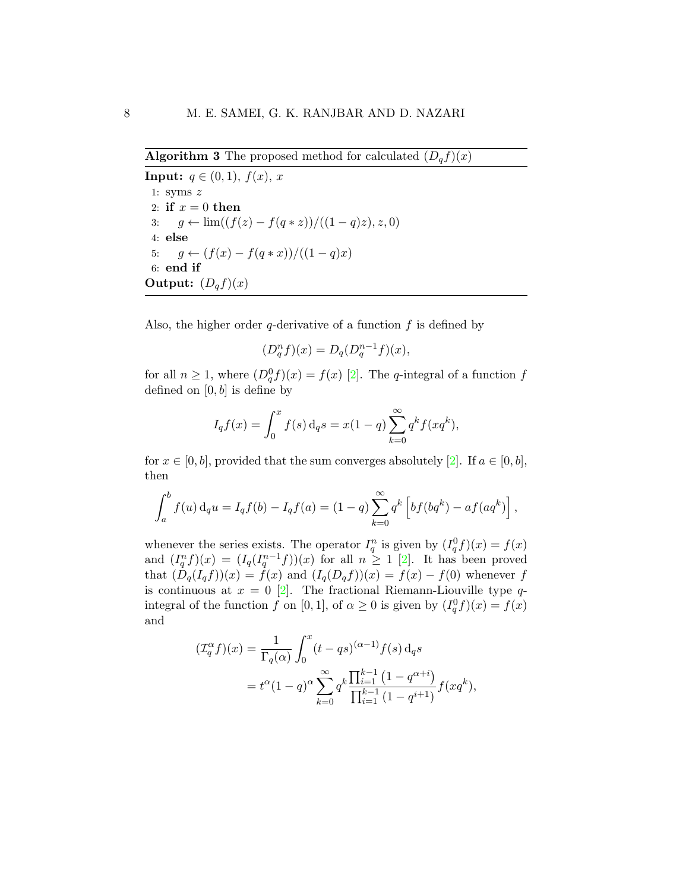<span id="page-7-0"></span>**Algorithm 3** The proposed method for calculated  $(D_q f)(x)$ 

**Input:**  $q \in (0, 1), f(x), x$ 1: syms  $z$ 2: if  $x = 0$  then 3:  $g \leftarrow \lim((f(z) - f(q * z))/( (1 - q)z), z, 0)$ 4: else 5:  $g \leftarrow (f(x) - f(q * x))/(1 - q)x)$ 6: end if Output:  $(D_q f)(x)$ 

Also, the higher order  $q$ -derivative of a function  $f$  is defined by

$$
(D_q^n f)(x) = D_q(D_q^{n-1} f)(x),
$$

for all  $n \geq 1$ , where  $(D_q^0 f)(x) = f(x)$  [\[2\]](#page-33-0). The *q*-integral of a function f defined on  $[0, b]$  is define by

$$
I_q f(x) = \int_0^x f(s) d_q s = x(1-q) \sum_{k=0}^\infty q^k f(xq^k),
$$

for  $x \in [0, b]$ , provided that the sum converges absolutely [\[2\]](#page-33-0). If  $a \in [0, b]$ , then

$$
\int_{a}^{b} f(u) d_{q}u = I_{q}f(b) - I_{q}f(a) = (1-q)\sum_{k=0}^{\infty} q^{k} \left[ bf(bq^{k}) - af(aq^{k}) \right],
$$

whenever the series exists. The operator  $I_q^n$  is given by  $(I_q^0 f)(x) = f(x)$ and  $(I_q^n f)(x) = (I_q(I_q^{n-1} f))(x)$  for all  $n \geq 1$  [\[2\]](#page-33-0). It has been proved that  $(D_q(I_qf))(x) = f(x)$  and  $(I_q(D_qf))(x) = f(x) - f(0)$  whenever f is continuous at  $x = 0$  [\[2\]](#page-33-0). The fractional Riemann-Liouville type qintegral of the function f on [0, 1], of  $\alpha \geq 0$  is given by  $(I_q^0 f)(x) = f(x)$ and

$$
\begin{aligned} (\mathcal{I}_q^{\alpha} f)(x) &= \frac{1}{\Gamma_q(\alpha)} \int_0^x (t - qs)^{(\alpha - 1)} f(s) \, \mathrm{d}_q s \\ &= t^{\alpha} (1 - q)^{\alpha} \sum_{k=0}^\infty q^k \frac{\prod_{i=1}^{k-1} (1 - q^{\alpha + i})}{\prod_{i=1}^{k-1} (1 - q^{i+1})} f(xq^k), \end{aligned}
$$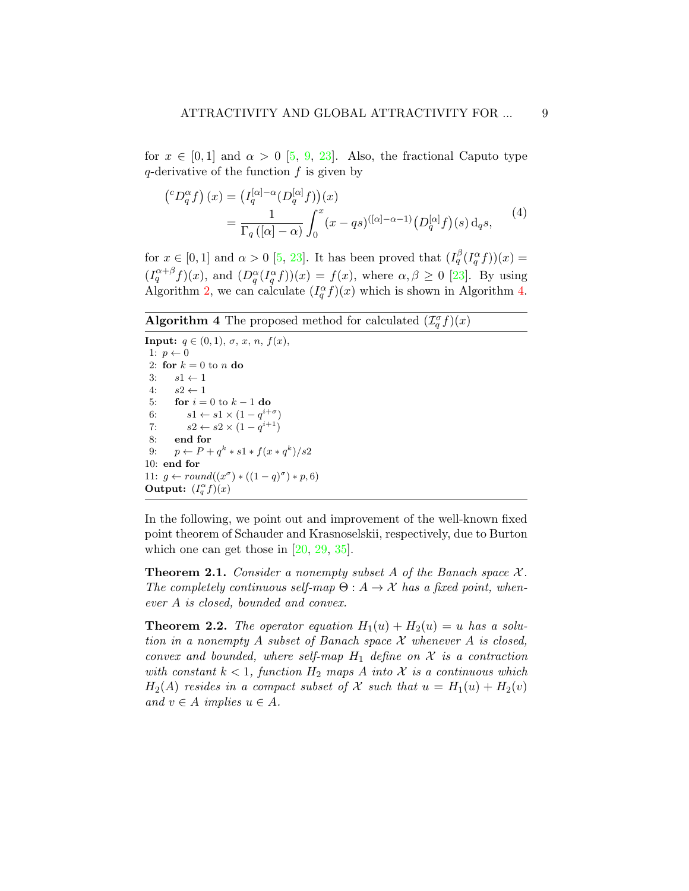for  $x \in [0,1]$  and  $\alpha > 0$  [\[5,](#page-33-6) [9,](#page-34-0) [23\]](#page-35-4). Also, the fractional Caputo type  $q$ -derivative of the function  $f$  is given by

$$
\begin{aligned} \left(^{c}D_{q}^{\alpha}f\right)(x) &= \left(I_{q}^{[\alpha]-\alpha}(D_{q}^{[\alpha]}f)\right)(x) \\ &= \frac{1}{\Gamma_{q}\left([\alpha]-\alpha\right)} \int_{0}^{x} (x - qs)^{([\alpha]-\alpha-1)} \left(D_{q}^{[\alpha]}f\right)(s) \,\mathrm{d}_{q}s, \end{aligned} \tag{4}
$$

for  $x \in [0,1]$  and  $\alpha > 0$  [\[5,](#page-33-6) [23\]](#page-35-4). It has been proved that  $(I_q^{\beta}(I_q^{\alpha}f))(x) =$  $(I_q^{\alpha+\beta}f)(x)$ , and  $(D_q^{\alpha}(I_q^{\alpha}f))(x) = f(x)$ , where  $\alpha, \beta \geq 0$  [\[23\]](#page-35-4). By using Algorithm [2,](#page-6-1) we can calculate  $(I_q^{\alpha} f)(x)$  which is shown in Algorithm [4.](#page-8-0)

<span id="page-8-0"></span>**Algorithm 4** The proposed method for calculated  $(\mathcal{I}_q^{\sigma} f)(x)$ 

**Input:**  $q \in (0, 1), \sigma, x, n, f(x)$ , 1:  $p \leftarrow 0$ 2: for  $k = 0$  to n do 3:  $s1 \leftarrow 1$ 4:  $s2 \leftarrow 1$ 5: **for**  $i = 0$  to  $k - 1$  **do** 6:  $s1 \leftarrow s1 \times (1 - q^{i+\sigma})$ 7:  $s2 \leftarrow s2 \times (1 - q^{i+1})$ 8: end for 9:  $p \leftarrow P + q^k * s1 * f(x * q^k)/s2$ 10: end for 11:  $g \leftarrow round((x^{\sigma}) * ((1-q)^{\sigma}) * p, 6)$ Output:  $(I_q^{\alpha} f)(x)$ 

In the following, we point out and improvement of the well-known fixed point theorem of Schauder and Krasnoselskii, respectively, due to Burton which one can get those in  $[20, 29, 35]$  $[20, 29, 35]$  $[20, 29, 35]$  $[20, 29, 35]$ .

<span id="page-8-1"></span>**Theorem 2.1.** Consider a nonempty subset A of the Banach space  $\mathcal{X}$ . The completely continuous self-map  $\Theta: A \to \mathcal{X}$  has a fixed point, whenever A is closed, bounded and convex.

<span id="page-8-2"></span>**Theorem 2.2.** The operator equation  $H_1(u) + H_2(u) = u$  has a solution in a nonempty A subset of Banach space  $\mathcal X$  whenever A is closed, convex and bounded, where self-map  $H_1$  define on  $\mathcal X$  is a contraction with constant  $k < 1$ , function  $H_2$  maps A into X is a continuous which  $H_2(A)$  resides in a compact subset of X such that  $u = H_1(u) + H_2(v)$ and  $v \in A$  implies  $u \in A$ .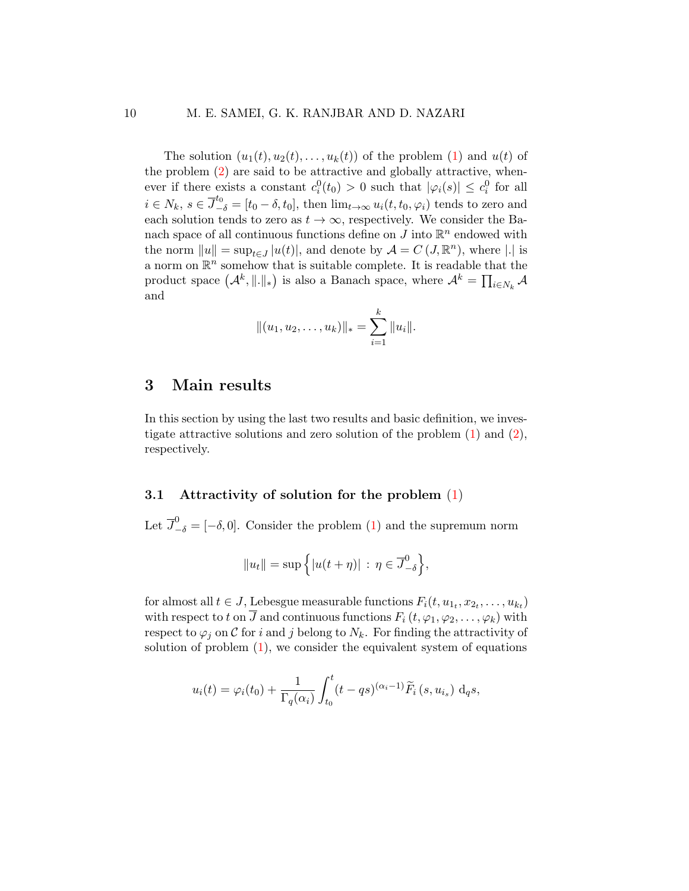The solution  $(u_1(t), u_2(t), \ldots, u_k(t))$  of the problem [\(1\)](#page-4-0) and  $u(t)$  of the problem [\(2\)](#page-4-1) are said to be attractive and globally attractive, whenever if there exists a constant  $c_i^0(t_0) > 0$  such that  $|\varphi_i(s)| \leq c_i^0$  for all  $i \in N_k$ ,  $s \in \overline{J}_{-\delta}^{t_0} = [t_0 - \delta, t_0]$ , then  $\lim_{t \to \infty} u_i(t, t_0, \varphi_i)$  tends to zero and each solution tends to zero as  $t \to \infty$ , respectively. We consider the Banach space of all continuous functions define on  $J$  into  $\mathbb{R}^n$  endowed with the norm  $||u|| = \sup_{t \in J} |u(t)|$ , and denote by  $\mathcal{A} = C(J, \mathbb{R}^n)$ , where |.| is a norm on  $\mathbb{R}^n$  somehow that is suitable complete. It is readable that the product space  $(A^k, \|.\|_*)$  is also a Banach space, where  $A^k = \prod_{i \in N_k} A$ and

$$
||(u_1, u_2, \dots, u_k)||_* = \sum_{i=1}^k ||u_i||.
$$

## <span id="page-9-0"></span>3 Main results

In this section by using the last two results and basic definition, we investigate attractive solutions and zero solution of the problem [\(1\)](#page-4-0) and [\(2\)](#page-4-1), respectively.

### 3.1 Attractivity of solution for the problem  $(1)$

Let  $\overline{J}_{-\delta}^0 = [-\delta, 0]$ . Consider the problem [\(1\)](#page-4-0) and the supremum norm

$$
||u_t|| = \sup \Big\{ |u(t + \eta)| \, : \, \eta \in \overline{J}_{-\delta}^0 \Big\},\,
$$

for almost all  $t \in J$ , Lebesgue measurable functions  $F_i(t, u_{1_t}, x_{2_t}, \ldots, u_{k_t})$ with respect to t on  $\overline{J}$  and continuous functions  $F_i(t, \varphi_1, \varphi_2, \ldots, \varphi_k)$  with respect to  $\varphi_i$  on C for i and j belong to  $N_k$ . For finding the attractivity of solution of problem  $(1)$ , we consider the equivalent system of equations

$$
u_i(t) = \varphi_i(t_0) + \frac{1}{\Gamma_q(\alpha_i)} \int_{t_0}^t (t - qs)^{(\alpha_i - 1)} \widetilde{F}_i(s, u_{i_s}) d_q s,
$$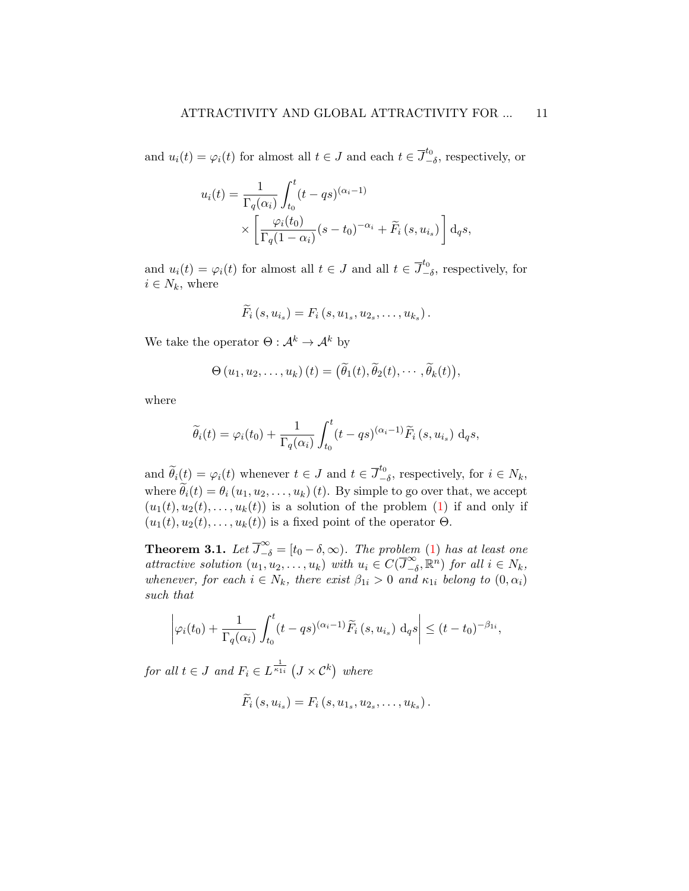and  $u_i(t) = \varphi_i(t)$  for almost all  $t \in J$  and each  $t \in \overline{J}^{t_0}_{-}$  $\frac{u_0}{-\delta}$ , respectively, or

$$
u_i(t) = \frac{1}{\Gamma_q(\alpha_i)} \int_{t_0}^t (t - qs)^{(\alpha_i - 1)}
$$

$$
\times \left[ \frac{\varphi_i(t_0)}{\Gamma_q(1 - \alpha_i)} (s - t_0)^{-\alpha_i} + \widetilde{F}_i (s, u_{i_s}) \right] d_q s,
$$

and  $u_i(t) = \varphi_i(t)$  for almost all  $t \in J$  and all  $t \in \overline{J}^{t_0}_{-}$  $\frac{\mu_0}{-\delta}$ , respectively, for  $i \in N_k$ , where

$$
\widetilde{F}_i(s, u_{i_s}) = F_i(s, u_{1_s}, u_{2_s}, \ldots, u_{k_s}).
$$

We take the operator  $\Theta : \mathcal{A}^k \to \mathcal{A}^k$  by

$$
\Theta(u_1, u_2, \ldots, u_k)(t) = (\widetilde{\theta}_1(t), \widetilde{\theta}_2(t), \cdots, \widetilde{\theta}_k(t)),
$$

where

$$
\widetilde{\theta}_i(t) = \varphi_i(t_0) + \frac{1}{\Gamma_q(\alpha_i)} \int_{t_0}^t (t - qs)^{(\alpha_i - 1)} \widetilde{F}_i(s, u_{i_s}) \, \mathrm{d}_q s,
$$

and  $\widetilde{\theta}_i(t) = \varphi_i(t)$  whenever  $t \in J$  and  $t \in \overline{J}^{t_0}_{-}$  $\frac{u_0}{-\delta}$ , respectively, for  $i \in N_k$ , where  $\widetilde{\theta}_i(t) = \theta_i(u_1, u_2, \dots, u_k)$  (t). By simple to go over that, we accept  $(u_1(t), u_2(t), \ldots, u_k(t))$  is a solution of the problem [\(1\)](#page-4-0) if and only if  $(u_1(t), u_2(t), \ldots, u_k(t))$  is a fixed point of the operator  $\Theta$ .

<span id="page-10-0"></span>**Theorem 3.1.** Let  $\overline{J}_{-\delta}^{\infty} = [t_0 - \delta, \infty)$ . The problem [\(1\)](#page-4-0) has at least one attractive solution  $(u_1, u_2, \ldots, u_k)$  with  $u_i \in C(\overline{J}^{\infty}_{-i})$  $\sum_{-\delta}^{\infty}$ ,  $\mathbb{R}^n$ ) for all  $i \in N_k$ , whenever, for each  $i \in N_k$ , there exist  $\beta_{1i} > 0$  and  $\kappa_{1i}$  belong to  $(0, \alpha_i)$ such that

$$
\left|\varphi_i(t_0) + \frac{1}{\Gamma_q(\alpha_i)} \int_{t_0}^t (t - qs)^{(\alpha_i - 1)} \widetilde{F}_i(s, u_{i_s}) \, \mathrm{d}_q s\right| \le (t - t_0)^{-\beta_{1i}},
$$

for all  $t \in J$  and  $F_i \in L^{\frac{1}{\kappa_{1i}}} (J \times \mathcal{C}^k)$  where

$$
F_i(s, u_{i_s}) = F_i(s, u_{1_s}, u_{2_s}, \dots, u_{k_s}).
$$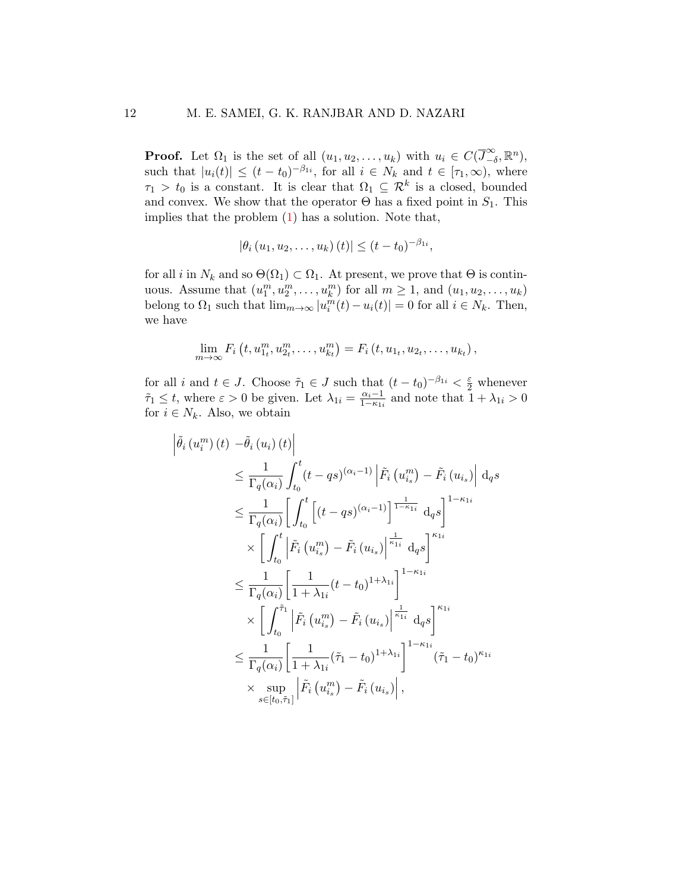**Proof.** Let  $\Omega_1$  is the set of all  $(u_1, u_2, \ldots, u_k)$  with  $u_i \in C(\overline{J}_{-i}^{\infty})$  $\sum_{-\delta}^{\infty}$ ,  $\mathbb{R}^{n}$ ), such that  $|u_i(t)| \le (t - t_0)^{-\beta_{1i}}$ , for all  $i \in N_k$  and  $t \in [\tau_1, \infty)$ , where  $\tau_1 > t_0$  is a constant. It is clear that  $\Omega_1 \subseteq \mathcal{R}^k$  is a closed, bounded and convex. We show that the operator  $\Theta$  has a fixed point in  $S_1$ . This implies that the problem  $(1)$  has a solution. Note that,

$$
|\theta_i(u_1, u_2, \dots, u_k)(t)| \le (t - t_0)^{-\beta_{1i}},
$$

for all i in  $N_k$  and so  $\Theta(\Omega_1) \subset \Omega_1$ . At present, we prove that  $\Theta$  is continuous. Assume that  $(u_1^m, u_2^m, \dots, u_k^m)$  for all  $m \ge 1$ , and  $(u_1, u_2, \dots, u_k)$ belong to  $\Omega_1$  such that  $\lim_{m\to\infty} |u_i^m(t) - u_i(t)| = 0$  for all  $i \in N_k$ . Then, we have

$$
\lim_{m\to\infty} F_i(t, u_1^m, u_2^m, \dots, u_{kt}^m) = F_i(t, u_1, u_2, \dots, u_{kt}),
$$

for all i and  $t \in J$ . Choose  $\tilde{\tau}_1 \in J$  such that  $(t - t_0)^{-\beta_{1i}} < \frac{\varepsilon}{2}$  whenever  $\tilde{\tau}_1 \leq t$ , where  $\varepsilon > 0$  be given. Let  $\lambda_{1i} = \frac{\alpha_i - 1}{1 - \kappa_{1i}}$  $\frac{\alpha_i-1}{1-\kappa_{1i}}$  and note that  $1+\lambda_{1i}>0$ for  $i \in N_k$ . Also, we obtain

$$
\tilde{\theta}_{i}(u_{i}^{m})(t) - \tilde{\theta}_{i}(u_{i})(t)\Big| \leq \frac{1}{\Gamma_{q}(\alpha_{i})} \int_{t_{0}}^{t} (t - qs)^{(\alpha_{i} - 1)} \Big| \tilde{F}_{i}(u_{i_{s}}^{m}) - \tilde{F}_{i}(u_{i_{s}}) \Big| d_{q}s
$$
\n
$$
\leq \frac{1}{\Gamma_{q}(\alpha_{i})} \Bigg[ \int_{t_{0}}^{t} \Big[ (t - qs)^{(\alpha_{i} - 1)} \Big]^{\frac{1}{1 - \kappa_{1i}}} d_{q}s \Bigg]^{1 - \kappa_{1i}}
$$
\n
$$
\times \Bigg[ \int_{t_{0}}^{t} \Big| \tilde{F}_{i}(u_{i_{s}}^{m}) - \tilde{F}_{i}(u_{i_{s}}) \Big|^{\frac{1}{\kappa_{1i}}} d_{q}s \Bigg]^{K_{1i}}
$$
\n
$$
\leq \frac{1}{\Gamma_{q}(\alpha_{i})} \Bigg[ \frac{1}{1 + \lambda_{1i}} (t - t_{0})^{1 + \lambda_{1i}} \Bigg]^{1 - \kappa_{1i}}
$$
\n
$$
\times \Bigg[ \int_{t_{0}}^{\tilde{\tau}_{1}} \Big| \tilde{F}_{i}(u_{i_{s}}^{m}) - \tilde{F}_{i}(u_{i_{s}}) \Big|^{\frac{1}{\kappa_{1i}}} d_{q}s \Bigg]^{K_{1i}}
$$
\n
$$
\leq \frac{1}{\Gamma_{q}(\alpha_{i})} \Bigg[ \frac{1}{1 + \lambda_{1i}} (\tilde{\tau}_{1} - t_{0})^{1 + \lambda_{1i}} \Bigg]^{1 - \kappa_{1i}} (\tilde{\tau}_{1} - t_{0})^{\kappa_{1i}}
$$
\n
$$
\times \sup_{s \in [t_{0}, \tilde{\tau}_{1}]} \Big| \tilde{F}_{i}(u_{i_{s}}^{m}) - \tilde{F}_{i}(u_{i_{s}}) \Big|,
$$

 $\overline{\phantom{a}}$  $\overline{\phantom{a}}$  $\overline{\phantom{a}}$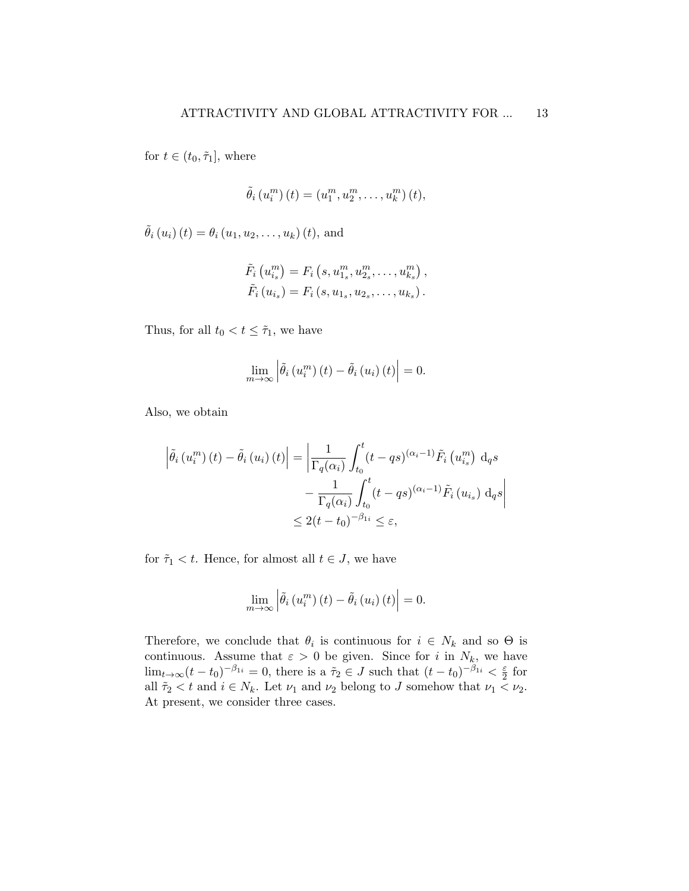for  $t \in (t_0, \tilde{\tau}_1]$ , where

$$
\tilde{\theta}_i(u_i^m)(t) = (u_1^m, u_2^m, \dots, u_k^m)(t),
$$

 $\tilde{\theta}_{i}(u_{i}) (t) = \theta_{i}(u_{1}, u_{2}, \ldots, u_{k}) (t)$ , and

$$
\tilde{F}_i (u_{i_s}^m) = F_i (s, u_{1_s}^m, u_{2_s}^m, \dots, u_{k_s}^m), \n\tilde{F}_i (u_{i_s}) = F_i (s, u_{1_s}, u_{2_s}, \dots, u_{k_s}).
$$

Thus, for all  $t_0 < t \leq \tilde{\tau}_1$ , we have

$$
\lim_{m\to\infty}\left|\tilde{\theta}_i\left(u_i^m\right)(t)-\tilde{\theta}_i\left(u_i\right)(t)\right|=0.
$$

Also, we obtain

$$
\left| \tilde{\theta}_{i} \left( u_{i}^{m} \right) (t) - \tilde{\theta}_{i} \left( u_{i} \right) (t) \right| = \left| \frac{1}{\Gamma_{q}(\alpha_{i})} \int_{t_{0}}^{t} (t - qs)^{(\alpha_{i} - 1)} \tilde{F}_{i} \left( u_{i_{s}}^{m} \right) d_{q} s - \frac{1}{\Gamma_{q}(\alpha_{i})} \int_{t_{0}}^{t} (t - qs)^{(\alpha_{i} - 1)} \tilde{F}_{i} \left( u_{i_{s}} \right) d_{q} s \right|
$$
  

$$
\leq 2(t - t_{0})^{-\beta_{1i}} \leq \varepsilon,
$$

for  $\tilde{\tau}_1 < t$ . Hence, for almost all  $t \in J$ , we have

$$
\lim_{m \to \infty} \left| \tilde{\theta}_i \left( u_i^m \right) (t) - \tilde{\theta}_i \left( u_i \right) (t) \right| = 0.
$$

Therefore, we conclude that  $\theta_i$  is continuous for  $i \in N_k$  and so  $\Theta$  is continuous. Assume that  $\varepsilon > 0$  be given. Since for i in  $N_k$ , we have  $\lim_{t\to\infty}(t-t_0)^{-\beta_{1i}}=0$ , there is a  $\tilde{\tau}_2\in J$  such that  $(t-t_0)^{-\beta_{1i}}<\frac{\varepsilon}{2}$  $rac{\varepsilon}{2}$  for all  $\tilde{\tau}_2 < t$  and  $i \in N_k$ . Let  $\nu_1$  and  $\nu_2$  belong to J somehow that  $\nu_1 < \nu_2$ . At present, we consider three cases.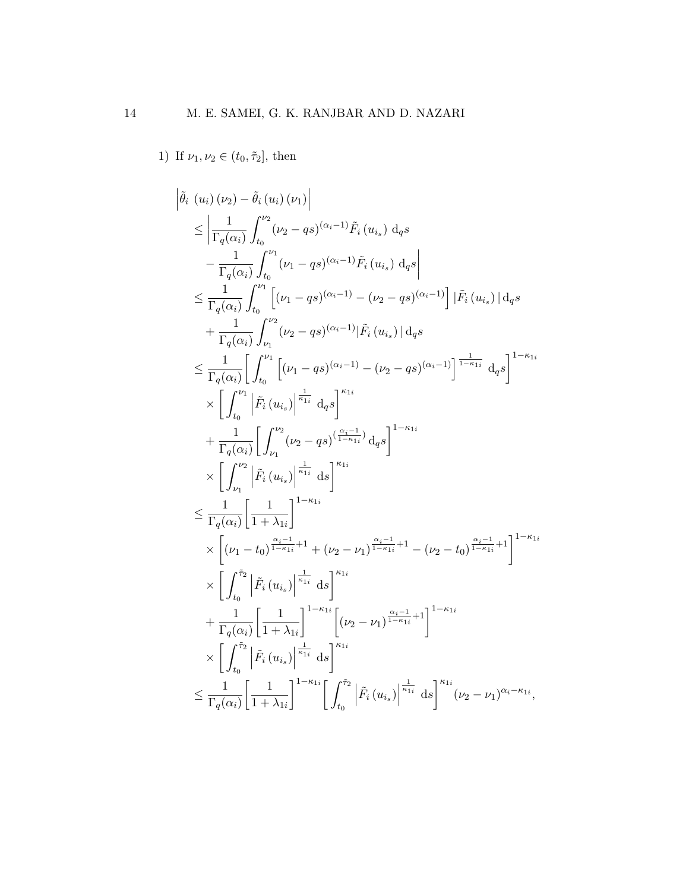1) If  $\nu_1, \nu_2 \in (t_0, \tilde{\tau}_2]$ , then

$$
\begin{split}\n&\left|\tilde{\theta}_{i}\ (u_{i})\ (\nu_{2})-\tilde{\theta}_{i}\ (u_{i})\ (\nu_{1})\right| \\
&\leq \left|\frac{1}{\Gamma_{q}(\alpha_{i})}\int_{t_{0}}^{\nu_{2}}(\nu_{2}-qs)^{(\alpha_{i}-1)}\tilde{F}_{i}\ (u_{i_{s}})\ \mathrm{d}_{q}s\right| \\
&\leq \frac{1}{\Gamma_{q}(\alpha_{i})}\int_{t_{0}}^{\nu_{1}}(\nu_{1}-qs)^{(\alpha_{i}-1)}\tilde{F}_{i}\ (u_{i_{s}})\ \mathrm{d}_{q}s\right| \\
&\leq \frac{1}{\Gamma_{q}(\alpha_{i})}\int_{t_{0}}^{\nu_{1}}\left[(\nu_{1}-qs)^{(\alpha_{i}-1)}-(\nu_{2}-qs)^{(\alpha_{i}-1)}\right]|\tilde{F}_{i}\ (u_{i_{s}})|\ \mathrm{d}_{q}s\right| \\
&+\frac{1}{\Gamma_{q}(\alpha_{i})}\int_{\nu_{1}}^{\nu_{2}}(\nu_{2}-qs)^{(\alpha_{i}-1)}|\tilde{F}_{i}\ (u_{i_{s}})|\ \mathrm{d}_{q}s\right| \\
&\leq \frac{1}{\Gamma_{q}(\alpha_{i})}\left[\int_{t_{0}}^{\nu_{1}}\left[(\nu_{1}-qs)^{(\alpha_{i}-1)}-(\nu_{2}-qs)^{(\alpha_{i}-1)}\right]^{\frac{1}{1-\kappa_{1i}}}\ \mathrm{d}_{q}s\right]^{1-\kappa_{1i}} \\
&\times\left[\int_{t_{0}}^{\nu_{1}}\left|\tilde{F}_{i}\ (u_{i_{s}})\right|^{\frac{1}{\kappa_{1i}}}\ \mathrm{d}_{q}s\right]^{K_{1i}} \\
&\leq \frac{1}{\Gamma_{q}(\alpha_{i})}\left[\int_{\nu_{1}}^{\nu_{2}}(\nu_{2}-qs)^{(\frac{\alpha_{i}-1}{1-\kappa_{1i}})}\ \mathrm{d}_{q}s\right]^{1-\kappa_{1i}} \\
&\leq \frac{1}{\Gamma_{q}(\alpha_{i})}\left[\int_{\nu_{1}}^{\nu_{2}}|\tilde{F}_{i}\ (u_{i_{s}})\right|^{\frac{1}{\kappa_{1i}}}\ \mathrm{d}s\right]^{K_{1i}} \\
&\leq \frac{1}{\Gamma_{q}(\alpha_{i})}\left[\frac{1}{1+\lambda_{1i}}\right]^{1-\kappa_{1i}} \\
&\times\left[(\
$$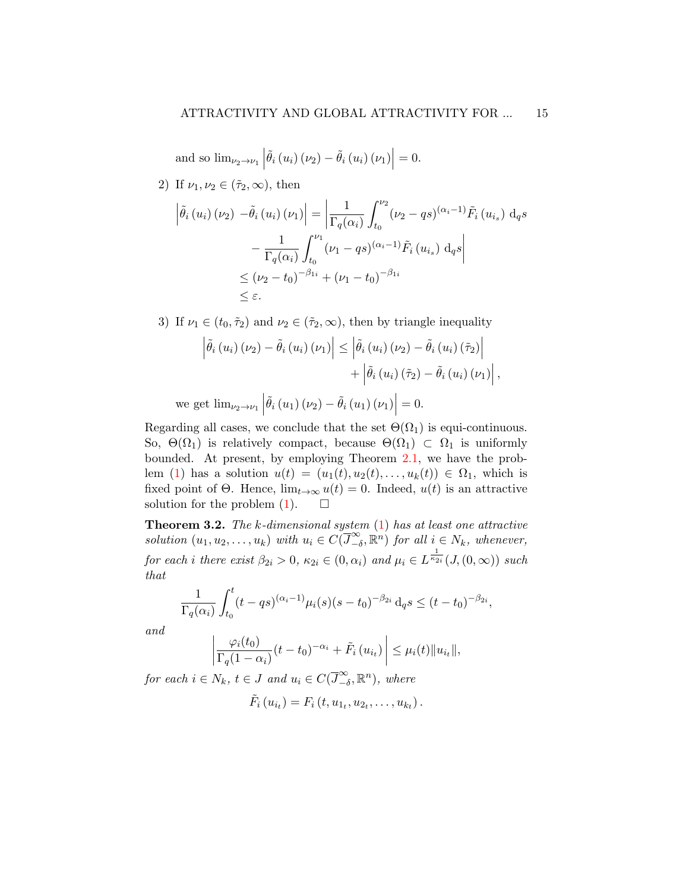and so  $\lim_{\nu_2 \to \nu_1} \left| \tilde{\theta}_i \left( u_i \right) \left( \nu_2 \right) - \tilde{\theta}_i \left( u_i \right) \left( \nu_1 \right) \right|$  $= 0.$ 

2) If 
$$
\nu_1, \nu_2 \in (\tilde{\tau}_2, \infty)
$$
, then

$$
\left| \tilde{\theta}_{i} \left( u_{i} \right) \left( \nu_{2} \right) - \tilde{\theta}_{i} \left( u_{i} \right) \left( \nu_{1} \right) \right| = \left| \frac{1}{\Gamma_{q}(\alpha_{i})} \int_{t_{0}}^{\nu_{2}} (\nu_{2} - qs)^{(\alpha_{i} - 1)} \tilde{F}_{i} \left( u_{i_{s}} \right) \, \mathrm{d}_{q} s \right|
$$

$$
- \frac{1}{\Gamma_{q}(\alpha_{i})} \int_{t_{0}}^{\nu_{1}} (\nu_{1} - qs)^{(\alpha_{i} - 1)} \tilde{F}_{i} \left( u_{i_{s}} \right) \, \mathrm{d}_{q} s \right|
$$

$$
\leq (\nu_{2} - t_{0})^{-\beta_{1i}} + (\nu_{1} - t_{0})^{-\beta_{1i}}
$$

$$
\leq \varepsilon.
$$

3) If  $\nu_1 \in (t_0, \tilde{\tau}_2)$  and  $\nu_2 \in (\tilde{\tau}_2, \infty)$ , then by triangle inequality

$$
\left| \tilde{\theta}_{i} \left( u_{i} \right) \left( \nu_{2} \right) - \tilde{\theta}_{i} \left( u_{i} \right) \left( \nu_{1} \right) \right| \leq \left| \tilde{\theta}_{i} \left( u_{i} \right) \left( \nu_{2} \right) - \tilde{\theta}_{i} \left( u_{i} \right) \left( \tilde{\tau}_{2} \right) \right|
$$

$$
+ \left| \tilde{\theta}_{i} \left( u_{i} \right) \left( \tilde{\tau}_{2} \right) - \tilde{\theta}_{i} \left( u_{i} \right) \left( \nu_{1} \right) \right|,
$$
e get lim
$$
\left| \tilde{\theta}_{i} \left( u_{i} \right) \left( \nu_{2} \right) - \tilde{\theta}_{i} \left( u_{i} \right) \left( \nu_{1} \right) \right| = 0
$$

we get  $\lim_{\nu_2 \to \nu_1} \left| \tilde{\theta}_i(u_1) (\nu_2) - \tilde{\theta}_i(u_1) (\nu_1) \right|$  $= 0.$ 

Regarding all cases, we conclude that the set  $\Theta(\Omega_1)$  is equi-continuous. So,  $\Theta(\Omega_1)$  is relatively compact, because  $\Theta(\Omega_1) \subset \Omega_1$  is uniformly bounded. At present, by employing Theorem [2.1,](#page-8-1) we have the prob-lem [\(1\)](#page-4-0) has a solution  $u(t) = (u_1(t), u_2(t), \ldots, u_k(t)) \in \Omega_1$ , which is fixed point of  $\Theta$ . Hence,  $\lim_{t\to\infty} u(t) = 0$ . Indeed,  $u(t)$  is an attractive solution for the problem  $(1)$ .  $\Box$ 

**Theorem 3.2.** The  $k$ -dimensional system  $(1)$  has at least one attractive solution  $(u_1, u_2, \ldots, u_k)$  with  $u_i \in C(\overline{J}^{\infty}_{-i})$  $\sum_{i=0}^{\infty}$ ,  $\mathbb{R}^{n}$  for all  $i \in N_{k}$ , whenever, for each i there exist  $\beta_{2i} > 0$ ,  $\kappa_{2i} \in (0, \alpha_i)$  and  $\mu_i \in L^{\frac{1}{\kappa_{2i}}}(J_1(0, \infty))$  such that

$$
\frac{1}{\Gamma_q(\alpha_i)} \int_{t_0}^t (t - qs)^{(\alpha_i - 1)} \mu_i(s) (s - t_0)^{-\beta_{2i}} d_q s \le (t - t_0)^{-\beta_{2i}},
$$

and

$$
\left|\frac{\varphi_i(t_0)}{\Gamma_q(1-\alpha_i)}(t-t_0)^{-\alpha_i} + \tilde{F}_i\left(u_{i_t}\right)\right| \leq \mu_i(t) \|u_{i_t}\|,
$$

for each  $i \in N_k$ ,  $t \in J$  and  $u_i \in C(\overline{J}^{\infty}_{-d})$  $\sum_{-\delta}^{\infty}$ ,  $\mathbb{R}^{n}$ ), where

$$
\tilde{F}_i(u_{i_t}) = F_i(t, u_{1_t}, u_{2_t}, \dots, u_{k_t}).
$$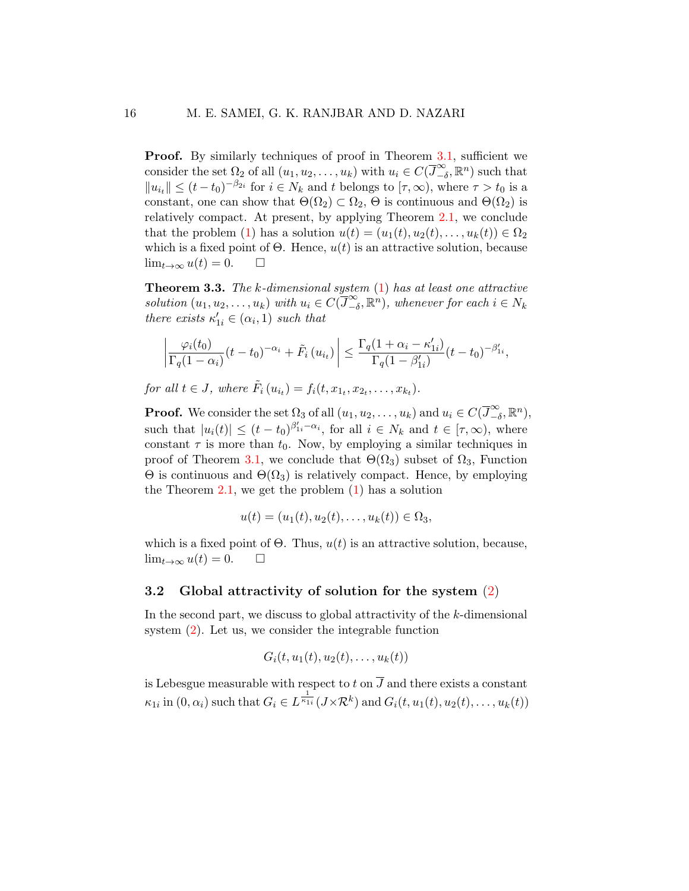**Proof.** By similarly techniques of proof in Theorem [3.1,](#page-10-0) sufficient we consider the set  $\Omega_2$  of all  $(u_1, u_2, \ldots, u_k)$  with  $u_i \in C(\overline{J}_{-i}^{\infty})$  $\sum_{-\delta}^{\infty}$ ,  $\mathbb{R}^{n}$ ) such that  $||u_{i}|| \leq (t-t_0)^{-\beta_{2i}}$  for  $i \in N_k$  and t belongs to  $[\tau, \infty)$ , where  $\tau > t_0$  is a constant, one can show that  $\Theta(\Omega_2) \subset \Omega_2$ ,  $\Theta$  is continuous and  $\Theta(\Omega_2)$  is relatively compact. At present, by applying Theorem [2.1,](#page-8-1) we conclude that the problem [\(1\)](#page-4-0) has a solution  $u(t) = (u_1(t), u_2(t), \ldots, u_k(t)) \in \Omega_2$ which is a fixed point of  $\Theta$ . Hence,  $u(t)$  is an attractive solution, because  $\lim_{t\to\infty} u(t) = 0.$   $\Box$ 

**Theorem 3.3.** The k-dimensional system  $(1)$  has at least one attractive solution  $(u_1, u_2, \ldots, u_k)$  with  $u_i \in C(\overline{J}^{\infty}_{-i})$  $\sum_{i=0}^{\infty} \mathbb{R}^n$ , whenever for each  $i \in N_k$ there exists  $\kappa'_{1i} \in (\alpha_i, 1)$  such that

$$
\left|\frac{\varphi_i(t_0)}{\Gamma_q(1-\alpha_i)}(t-t_0)^{-\alpha_i} + \tilde{F}_i\left(u_{i_t}\right)\right| \leq \frac{\Gamma_q(1+\alpha_i-\kappa'_{1i})}{\Gamma_q(1-\beta'_{1i})}(t-t_0)^{-\beta'_{1i}},
$$

for all  $t \in J$ , where  $\tilde{F}_i(u_{i_t}) = f_i(t, x_{1_t}, x_{2_t}, \dots, x_{k_t}).$ 

**Proof.** We consider the set  $\Omega_3$  of all  $(u_1, u_2, \ldots, u_k)$  and  $u_i \in C(\overline{J}^{\infty}_{-i})$  $\sum_{-\delta}^{\infty}$ ,  $\mathbb{R}^{n}$ ), such that  $|u_i(t)| \le (t - t_0)^{\beta'_{1i} - \alpha_i}$ , for all  $i \in N_k$  and  $t \in [\tau, \infty)$ , where constant  $\tau$  is more than  $t_0$ . Now, by employing a similar techniques in proof of Theorem [3.1,](#page-10-0) we conclude that  $\Theta(\Omega_3)$  subset of  $\Omega_3$ , Function  $\Theta$  is continuous and  $\Theta(\Omega_3)$  is relatively compact. Hence, by employing the Theorem  $2.1$ , we get the problem  $(1)$  has a solution

$$
u(t) = (u_1(t), u_2(t), \dots, u_k(t)) \in \Omega_3,
$$

which is a fixed point of  $\Theta$ . Thus,  $u(t)$  is an attractive solution, because,  $\lim_{t\to\infty}u(t)=0.$   $\Box$ 

#### 3.2 Global attractivity of solution for the system [\(2\)](#page-4-1)

In the second part, we discuss to global attractivity of the k-dimensional system [\(2\)](#page-4-1). Let us, we consider the integrable function

$$
G_i(t, u_1(t), u_2(t), \ldots, u_k(t))
$$

is Lebesgue measurable with respect to t on  $\overline{J}$  and there exists a constant  $\kappa_{1i}$  in  $(0, \alpha_i)$  such that  $G_i \in L^{\frac{1}{\kappa_{1i}}}(J \times \mathcal{R}^k)$  and  $G_i(t, u_1(t), u_2(t), \ldots, u_k(t))$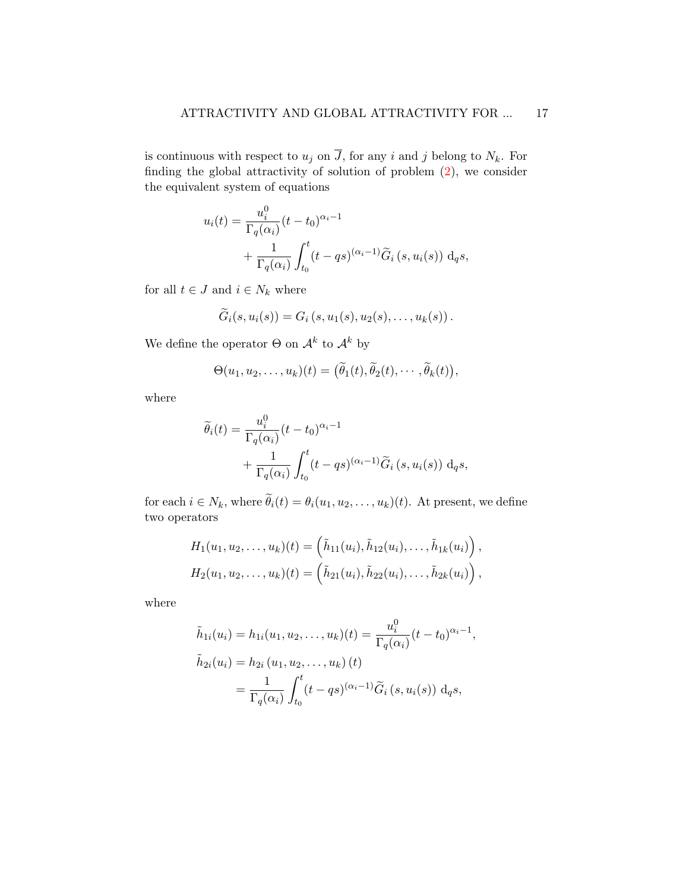is continuous with respect to  $u_j$  on  $\overline{J}$ , for any i and j belong to  $N_k$ . For finding the global attractivity of solution of problem [\(2\)](#page-4-1), we consider the equivalent system of equations

$$
u_i(t) = \frac{u_i^0}{\Gamma_q(\alpha_i)} (t - t_0)^{\alpha_i - 1}
$$
  
+ 
$$
\frac{1}{\Gamma_q(\alpha_i)} \int_{t_0}^t (t - qs)^{(\alpha_i - 1)} \widetilde{G}_i(s, u_i(s)) \, dqs,
$$

for all  $t \in J$  and  $i \in N_k$  where

$$
\widetilde{G}_i(s, u_i(s)) = G_i(s, u_1(s), u_2(s), \ldots, u_k(s)).
$$

We define the operator  $\Theta$  on  $\mathcal{A}^k$  to  $\mathcal{A}^k$  by

$$
\Theta(u_1, u_2, \dots, u_k)(t) = (\widetilde{\theta}_1(t), \widetilde{\theta}_2(t), \cdots, \widetilde{\theta}_k(t)),
$$

where

$$
\widetilde{\theta}_i(t) = \frac{u_i^0}{\Gamma_q(\alpha_i)} (t - t_0)^{\alpha_i - 1} + \frac{1}{\Gamma_q(\alpha_i)} \int_{t_0}^t (t - qs)^{(\alpha_i - 1)} \widetilde{G}_i(s, u_i(s)) \, d_q s,
$$

for each  $i \in N_k$ , where  $\tilde{\theta}_i(t) = \theta_i(u_1, u_2, \dots, u_k)(t)$ . At present, we define two operators

$$
H_1(u_1, u_2, \ldots, u_k)(t) = (\tilde{h}_{11}(u_i), \tilde{h}_{12}(u_i), \ldots, \tilde{h}_{1k}(u_i)),
$$
  

$$
H_2(u_1, u_2, \ldots, u_k)(t) = (\tilde{h}_{21}(u_i), \tilde{h}_{22}(u_i), \ldots, \tilde{h}_{2k}(u_i)),
$$

where

$$
\tilde{h}_{1i}(u_i) = h_{1i}(u_1, u_2, \dots, u_k)(t) = \frac{u_i^0}{\Gamma_q(\alpha_i)}(t - t_0)^{\alpha_i - 1},
$$
\n
$$
\tilde{h}_{2i}(u_i) = h_{2i}(u_1, u_2, \dots, u_k)(t)
$$
\n
$$
= \frac{1}{\Gamma_q(\alpha_i)} \int_{t_0}^t (t - qs)^{(\alpha_i - 1)} \tilde{G}_i(s, u_i(s)) \, d_q s,
$$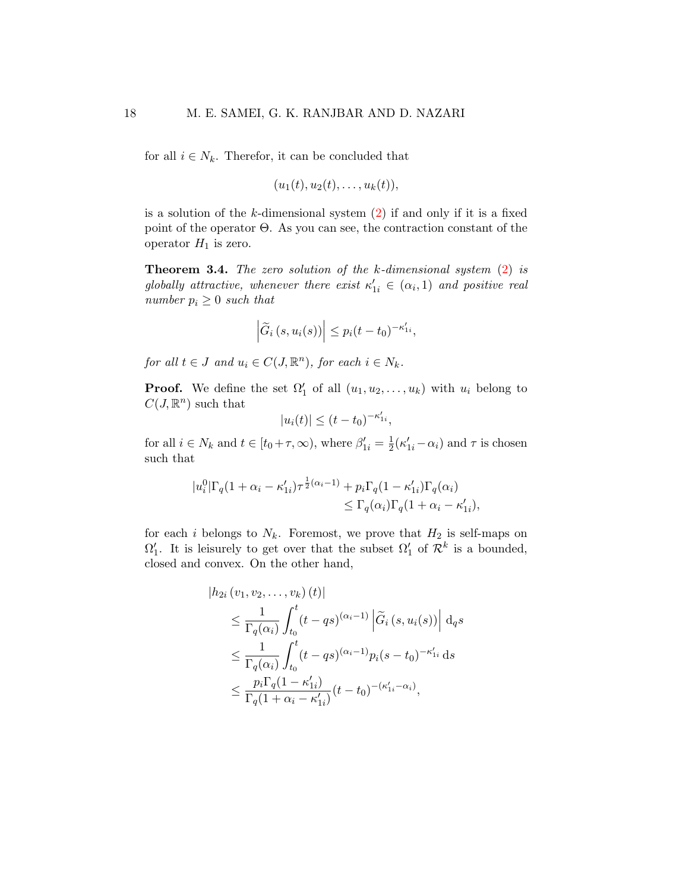for all  $i \in N_k$ . Therefor, it can be concluded that

 $(u_1(t), u_2(t), \ldots, u_k(t)),$ 

is a solution of the  $k$ -dimensional system  $(2)$  if and only if it is a fixed point of the operator Θ. As you can see, the contraction constant of the operator  $H_1$  is zero.

<span id="page-17-0"></span>Theorem 3.4. The zero solution of the k-dimensional system [\(2\)](#page-4-1) is globally attractive, whenever there exist  $\kappa'_{1i} \in (\alpha_i, 1)$  and positive real number  $p_i \geq 0$  such that

$$
\left|\widetilde{G}_i\left(s,u_i(s)\right)\right| \leq p_i(t-t_0)^{-\kappa'_{1i}},
$$

for all  $t \in J$  and  $u_i \in C(J, \mathbb{R}^n)$ , for each  $i \in N_k$ .

**Proof.** We define the set  $\Omega'_1$  of all  $(u_1, u_2, \ldots, u_k)$  with  $u_i$  belong to  $C(J,\mathbb{R}^n)$  such that

$$
|u_i(t)| \le (t - t_0)^{-\kappa'_{1i}},
$$

for all  $i \in N_k$  and  $t \in [t_0 + \tau, \infty)$ , where  $\beta'_{1i} = \frac{1}{2}$  $\frac{1}{2}(\kappa'_{1i}-\alpha_i)$  and  $\tau$  is chosen such that

$$
|u_i^0|\Gamma_q(1+\alpha_i-\kappa'_{1i})\tau^{\frac{1}{2}(\alpha_i-1)}+p_i\Gamma_q(1-\kappa'_{1i})\Gamma_q(\alpha_i)
$$
  

$$
\leq \Gamma_q(\alpha_i)\Gamma_q(1+\alpha_i-\kappa'_{1i}),
$$

for each i belongs to  $N_k$ . Foremost, we prove that  $H_2$  is self-maps on  $\Omega'_1$ . It is leisurely to get over that the subset  $\Omega'_1$  of  $\mathcal{R}^k$  is a bounded, closed and convex. On the other hand,

$$
|h_{2i}(v_1, v_2, \dots, v_k)(t)|
$$
  
\n
$$
\leq \frac{1}{\Gamma_q(\alpha_i)} \int_{t_0}^t (t - qs)^{(\alpha_i - 1)} \left| \tilde{G}_i(s, u_i(s)) \right| d_q s
$$
  
\n
$$
\leq \frac{1}{\Gamma_q(\alpha_i)} \int_{t_0}^t (t - qs)^{(\alpha_i - 1)} p_i(s - t_0)^{-\kappa'_{1i}} ds
$$
  
\n
$$
\leq \frac{p_i \Gamma_q(1 - \kappa'_{1i})}{\Gamma_q(1 + \alpha_i - \kappa'_{1i})} (t - t_0)^{-(\kappa'_{1i} - \alpha_i)},
$$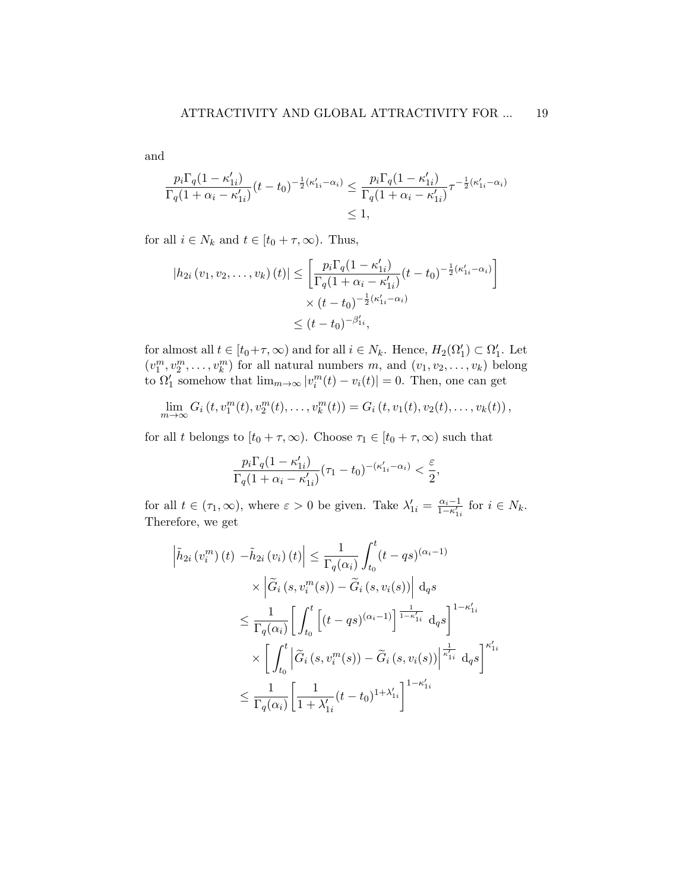and

$$
\frac{p_i \Gamma_q (1 - \kappa'_{1i})}{\Gamma_q (1 + \alpha_i - \kappa'_{1i})} (t - t_0)^{-\frac{1}{2}(\kappa'_{1i} - \alpha_i)} \leq \frac{p_i \Gamma_q (1 - \kappa'_{1i})}{\Gamma_q (1 + \alpha_i - \kappa'_{1i})} \tau^{-\frac{1}{2}(\kappa'_{1i} - \alpha_i)}
$$
  

$$
\leq 1,
$$

for all  $i \in N_k$  and  $t \in [t_0 + \tau, \infty)$ . Thus,

$$
|h_{2i}(v_1, v_2, \dots, v_k)(t)| \le \left[ \frac{p_i \Gamma_q (1 - \kappa'_{1i})}{\Gamma_q (1 + \alpha_i - \kappa'_{1i})} (t - t_0)^{-\frac{1}{2}(\kappa'_{1i} - \alpha_i)} \right] \times (t - t_0)^{-\frac{1}{2}(\kappa'_{1i} - \alpha_i)} \le (t - t_0)^{-\beta'_{1i}},
$$

for almost all  $t \in [t_0 + \tau, \infty)$  and for all  $i \in N_k$ . Hence,  $H_2(\Omega'_1) \subset \Omega'_1$ . Let  $(v_1^m, v_2^m, \ldots, v_k^m)$  for all natural numbers  $m$ , and  $(v_1, v_2, \ldots, v_k)$  belong to  $\Omega'_1$  somehow that  $\lim_{m\to\infty} |v_i^m(t) - v_i(t)| = 0$ . Then, one can get

$$
\lim_{m \to \infty} G_i(t, v_1^m(t), v_2^m(t), \dots, v_k^m(t)) = G_i(t, v_1(t), v_2(t), \dots, v_k(t)),
$$

for all t belongs to  $[t_0 + \tau, \infty)$ . Choose  $\tau_1 \in [t_0 + \tau, \infty)$  such that

$$
\frac{p_i \Gamma_q (1 - \kappa'_{1i})}{\Gamma_q (1 + \alpha_i - \kappa'_{1i})} (\tau_1 - t_0)^{-(\kappa'_{1i} - \alpha_i)} < \frac{\varepsilon}{2},
$$

for all  $t \in (\tau_1, \infty)$ , where  $\varepsilon > 0$  be given. Take  $\lambda'_{1i} = \frac{\alpha_i - 1}{1 - \kappa'_{1i}}$  for  $i \in N_k$ . Therefore, we get

$$
\left| \tilde{h}_{2i} \left( v_i^m \right) (t) - \tilde{h}_{2i} \left( v_i \right) (t) \right| \leq \frac{1}{\Gamma_q(\alpha_i)} \int_{t_0}^t (t - qs)^{(\alpha_i - 1)} \times \left| \tilde{G}_i \left( s, v_i^m(s) \right) - \tilde{G}_i \left( s, v_i(s) \right) \right| \mathbf{d}_q s
$$
\n
$$
\leq \frac{1}{\Gamma_q(\alpha_i)} \left[ \int_{t_0}^t \left[ (t - qs)^{(\alpha_i - 1)} \right]^{1 - \kappa'_{1i}} \mathbf{d}_q s \right]^{1 - \kappa'_{1i}}
$$
\n
$$
\times \left[ \int_{t_0}^t \left| \tilde{G}_i \left( s, v_i^m(s) \right) - \tilde{G}_i \left( s, v_i(s) \right) \right|^{1 - \kappa'_{1i}} \mathbf{d}_q s \right]^{\kappa'_{1i}}
$$
\n
$$
\leq \frac{1}{\Gamma_q(\alpha_i)} \left[ \frac{1}{1 + \lambda'_{1i}} (t - t_0)^{1 + \lambda'_{1i}} \right]^{1 - \kappa'_{1i}}
$$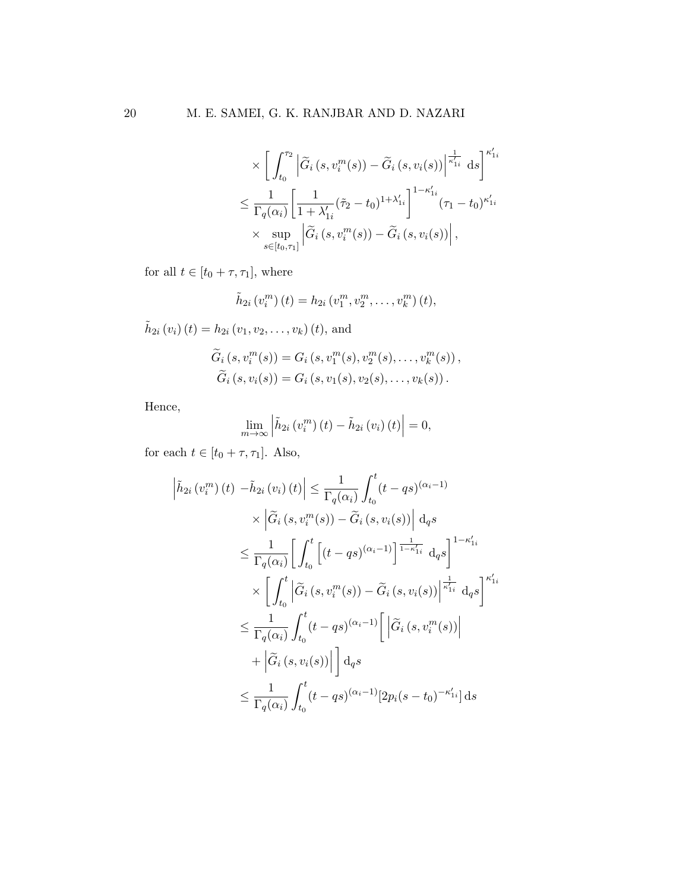$$
\times \left[ \int_{t_0}^{\tau_2} \left| \widetilde{G}_i \left( s, v_i^m(s) \right) - \widetilde{G}_i \left( s, v_i(s) \right) \right| \right|_{\kappa'_{1i}}^{\kappa'_{1i}} ds \right]^{\kappa'_{1i}}
$$

$$
\leq \frac{1}{\Gamma_q(\alpha_i)} \left[ \frac{1}{1 + \lambda'_{1i}} (\tilde{\tau}_2 - t_0)^{1 + \lambda'_{1i}} \right]^{1 - \kappa'_{1i}} (\tau_1 - t_0)^{\kappa'_{1i}}
$$

$$
\times \sup_{s \in [t_0, \tau_1]} \left| \widetilde{G}_i \left( s, v_i^m(s) \right) - \widetilde{G}_i \left( s, v_i(s) \right) \right|,
$$

for all  $t \in [t_0 + \tau, \tau_1]$ , where

$$
\tilde{h}_{2i}(v_i^m)(t) = h_{2i}(v_1^m, v_2^m, \dots, v_k^m)(t),
$$

$$
\tilde{h}_{2i}(v_i)(t) = h_{2i}(v_1, v_2, \dots, v_k)(t), \text{ and}
$$

$$
\tilde{G}_i(s, v_i^m(s)) = G_i(s, v_1^m(s), v_2^m(s), \dots, v_k^m(s)),
$$

$$
\tilde{G}_i(s, v_i(s)) = G_i(s, v_1(s), v_2(s), \dots, v_k(s)).
$$

Hence,

 

$$
\lim_{m\to\infty}\left|\tilde{h}_{2i}\left(v_i^m\right)(t)-\tilde{h}_{2i}\left(v_i\right)(t)\right|=0,
$$

for each  $t \in [t_0 + \tau, \tau_1]$ . Also,

$$
\tilde{h}_{2i}(v_i^m)(t) - \tilde{h}_{2i}(v_i)(t) \leq \frac{1}{\Gamma_q(\alpha_i)} \int_{t_0}^t (t - qs)^{(\alpha_i - 1)} \times \left| \tilde{G}_i(s, v_i^m(s)) - \tilde{G}_i(s, v_i(s)) \right| \, \mathrm{d}_q s
$$
\n
$$
\leq \frac{1}{\Gamma_q(\alpha_i)} \left[ \int_{t_0}^t \left[ (t - qs)^{(\alpha_i - 1)} \right]^\frac{1}{1 - \kappa'_{1i}} \, \mathrm{d}_q s \right]^{1 - \kappa'_{1i}}
$$
\n
$$
\times \left[ \int_{t_0}^t \left| \tilde{G}_i(s, v_i^m(s)) - \tilde{G}_i(s, v_i(s)) \right|^\frac{1}{\kappa'_{1i}} \, \mathrm{d}_q s \right]^{\kappa'_{1i}}
$$
\n
$$
\leq \frac{1}{\Gamma_q(\alpha_i)} \int_{t_0}^t (t - qs)^{(\alpha_i - 1)} \left[ \left| \tilde{G}_i(s, v_i^m(s)) \right| + \left| \tilde{G}_i(s, v_i(s)) \right| \right] \mathrm{d}_q s
$$
\n
$$
\leq \frac{1}{\Gamma_q(\alpha_i)} \int_{t_0}^t (t - qs)^{(\alpha_i - 1)} [2p_i(s - t_0)^{-\kappa'_{1i}}] \, \mathrm{d}_s
$$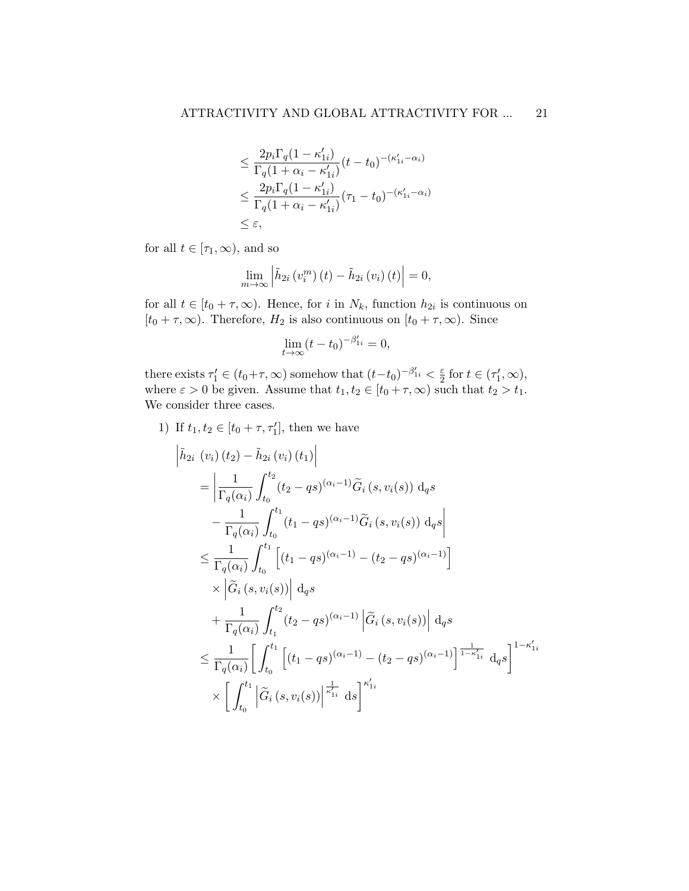$$
\leq \frac{2p_i\Gamma_q(1-\kappa'_{1i})}{\Gamma_q(1+\alpha_i-\kappa'_{1i})}(t-t_0)^{-(\kappa'_{1i}-\alpha_i)}
$$
  

$$
\leq \frac{2p_i\Gamma_q(1-\kappa'_{1i})}{\Gamma_q(1+\alpha_i-\kappa'_{1i})}(\tau_1-t_0)^{-(\kappa'_{1i}-\alpha_i)}
$$
  

$$
\leq \varepsilon,
$$

for all  $t \in [\tau_1, \infty)$ , and so

$$
\lim_{m\to\infty}\left|\tilde{h}_{2i}\left(v_i^m\right)(t)-\tilde{h}_{2i}\left(v_i\right)(t)\right|=0,
$$

for all  $t \in [t_0 + \tau, \infty)$ . Hence, for i in  $N_k$ , function  $h_{2i}$  is continuous on  $[t_0 + \tau, \infty)$ . Therefore,  $H_2$  is also continuous on  $[t_0 + \tau, \infty)$ . Since

$$
\lim_{t \to \infty} (t - t_0)^{-\beta'_{1i}} = 0,
$$

there exists  $\tau'_1 \in (t_0 + \tau, \infty)$  somehow that  $(t-t_0)^{-\beta'_{1i}} < \frac{\varepsilon}{2}$  $\frac{\varepsilon}{2}$  for  $t \in (\tau'_1, \infty)$ , where  $\varepsilon > 0$  be given. Assume that  $t_1, t_2 \in [t_0 + \tau, \infty)$  such that  $t_2 > t_1$ . We consider three cases.

1) If  $t_1, t_2 \in [t_0 + \tau, \tau'_1]$ , then we have

$$
\begin{split}\n\left| \tilde{h}_{2i} \left( v_{i} \right) (t_{2}) - \tilde{h}_{2i} \left( v_{i} \right) (t_{1}) \right| \\
&= \left| \frac{1}{\Gamma_{q}(\alpha_{i})} \int_{t_{0}}^{t_{2}} (t_{2} - qs)^{(\alpha_{i} - 1)} \tilde{G}_{i} \left( s, v_{i}(s) \right) \, \mathrm{d}_{q} s \right| \\
&- \frac{1}{\Gamma_{q}(\alpha_{i})} \int_{t_{0}}^{t_{1}} (t_{1} - qs)^{(\alpha_{i} - 1)} \tilde{G}_{i} \left( s, v_{i}(s) \right) \, \mathrm{d}_{q} s \right| \\
&\leq \frac{1}{\Gamma_{q}(\alpha_{i})} \int_{t_{0}}^{t_{1}} \left[ (t_{1} - qs)^{(\alpha_{i} - 1)} - (t_{2} - qs)^{(\alpha_{i} - 1)} \right] \\
&\times \left| \tilde{G}_{i} \left( s, v_{i}(s) \right) \right| \, \mathrm{d}_{q} s \\
&+ \frac{1}{\Gamma_{q}(\alpha_{i})} \int_{t_{1}}^{t_{2}} (t_{2} - qs)^{(\alpha_{i} - 1)} \left| \tilde{G}_{i} \left( s, v_{i}(s) \right) \right| \, \mathrm{d}_{q} s \\
&\leq \frac{1}{\Gamma_{q}(\alpha_{i})} \left[ \int_{t_{0}}^{t_{1}} \left[ (t_{1} - qs)^{(\alpha_{i} - 1)} - (t_{2} - qs)^{(\alpha_{i} - 1)} \right] \frac{1}{1 - \kappa_{1i}} \, \mathrm{d}_{q} s \right]^{1 - \kappa_{1i}'} \\
&\times \left[ \int_{t_{0}}^{t_{1}} \left| \tilde{G}_{i} \left( s, v_{i}(s) \right) \right| \frac{1}{\kappa_{1i}} \, \mathrm{d}s \right] \right|^{\kappa_{1i}'}\n\end{split}
$$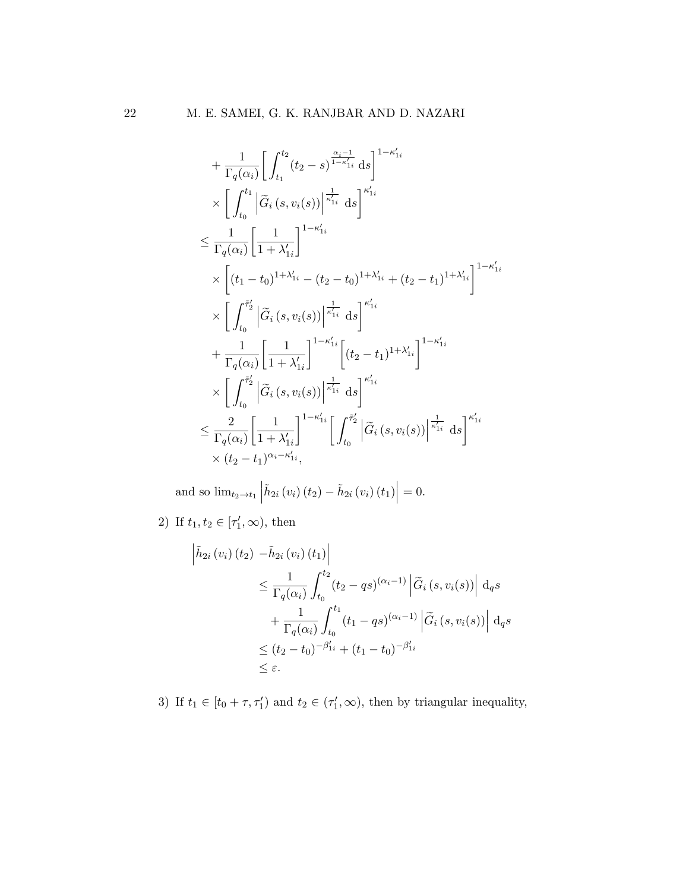$$
+ \frac{1}{\Gamma_{q}(\alpha_{i})} \Bigg[ \int_{t_{1}}^{t_{2}} (t_{2} - s)^{\frac{\alpha_{i}-1}{1-\kappa'_{1i}}} ds \Bigg]^{1-\kappa'_{1i}}
$$
  
\n
$$
\times \Bigg[ \int_{t_{0}}^{t_{1}} \Big|\widetilde{G}_{i}(s, v_{i}(s))\Big|^{\frac{1}{\kappa'_{1i}}} ds \Bigg]^{\kappa'_{1i}}
$$
  
\n
$$
\leq \frac{1}{\Gamma_{q}(\alpha_{i})} \Bigg[ \frac{1}{1+\lambda'_{1i}} \Bigg]^{1-\kappa'_{1i}}
$$
  
\n
$$
\times \Bigg[ (t_{1} - t_{0})^{1+\lambda'_{1i}} - (t_{2} - t_{0})^{1+\lambda'_{1i}} + (t_{2} - t_{1})^{1+\lambda'_{1i}} \Bigg]^{1-\kappa'_{1i}}
$$
  
\n
$$
\times \Bigg[ \int_{t_{0}}^{\tilde{\tau}'_{2}} \Big|\widetilde{G}_{i}(s, v_{i}(s))\Big|^{\frac{1}{\kappa'_{1i}}} ds \Bigg]^{\kappa'_{1i}}
$$
  
\n
$$
+ \frac{1}{\Gamma_{q}(\alpha_{i})} \Bigg[ \frac{1}{1+\lambda'_{1i}} \Bigg]^{1-\kappa'_{1i}} \Bigg[ (t_{2} - t_{1})^{1+\lambda'_{1i}} \Bigg]^{1-\kappa'_{1i}}
$$
  
\n
$$
\times \Bigg[ \int_{t_{0}}^{\tilde{\tau}'_{2}} \Big|\widetilde{G}_{i}(s, v_{i}(s))\Big|^{\frac{1}{\kappa'_{1i}}} ds \Bigg]^{\kappa'_{1i}}
$$
  
\n
$$
\leq \frac{2}{\Gamma_{q}(\alpha_{i})} \Bigg[ \frac{1}{1+\lambda'_{1i}} \Bigg]^{1-\kappa'_{1i}} \Bigg[ \int_{t_{0}}^{\tilde{\tau}'_{2}} \Big|\widetilde{G}_{i}(s, v_{i}(s))\Big|^{\frac{1}{\kappa'_{1i}}} ds \Bigg]^{\kappa'_{1i}}
$$
  
\n
$$
\times (t_{2} - t_{1})^{\alpha_{i}-\kappa'_{1i}},
$$

and so  $\lim_{t_2 \to t_1}$  $\tilde{h}_{2i}\left(v_{i}\right)\left(t_{2}\right)-\tilde{h}_{2i}\left(v_{i}\right)\left(t_{1}\right)\right|$  $= 0.$ 

2) If  $t_1, t_2 \in [\tau'_1, \infty)$ , then

$$
\left| \tilde{h}_{2i} \left( v_i \right) (t_2) - \tilde{h}_{2i} \left( v_i \right) (t_1) \right|
$$
\n
$$
\leq \frac{1}{\Gamma_q(\alpha_i)} \int_{t_0}^{t_2} (t_2 - qs)^{(\alpha_i - 1)} \left| \tilde{G}_i \left( s, v_i(s) \right) \right| \, \mathrm{d}_q s
$$
\n
$$
+ \frac{1}{\Gamma_q(\alpha_i)} \int_{t_0}^{t_1} (t_1 - qs)^{(\alpha_i - 1)} \left| \tilde{G}_i \left( s, v_i(s) \right) \right| \, \mathrm{d}_q s
$$
\n
$$
\leq (t_2 - t_0)^{-\beta'_{1i}} + (t_1 - t_0)^{-\beta'_{1i}}
$$
\n
$$
\leq \varepsilon.
$$

3) If  $t_1 \in [t_0 + \tau, \tau'_1)$  and  $t_2 \in (\tau'_1, \infty)$ , then by triangular inequality,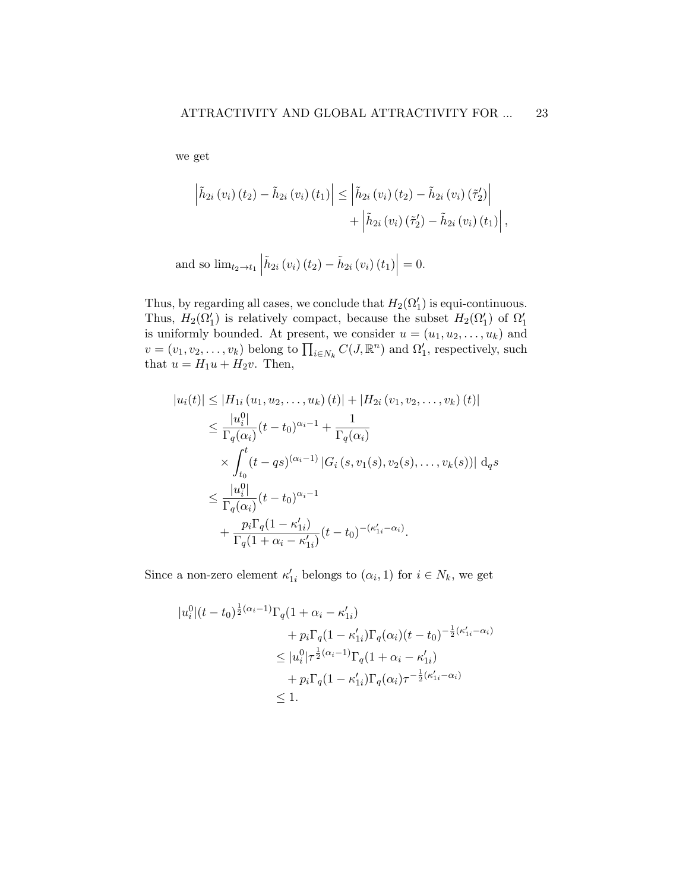we get

$$
\left| \tilde{h}_{2i} \left( v_{i} \right) \left( t_{2} \right) - \tilde{h}_{2i} \left( v_{i} \right) \left( t_{1} \right) \right| \leq \left| \tilde{h}_{2i} \left( v_{i} \right) \left( t_{2} \right) - \tilde{h}_{2i} \left( v_{i} \right) \left( \tilde{\tau}_{2}^{\prime} \right) \right| + \left| \tilde{h}_{2i} \left( v_{i} \right) \left( \tilde{\tau}_{2}^{\prime} \right) - \tilde{h}_{2i} \left( v_{i} \right) \left( t_{1} \right) \right|,
$$

and so 
$$
\lim_{t_2 \to t_1} \left| \tilde{h}_{2i} (v_i) (t_2) - \tilde{h}_{2i} (v_i) (t_1) \right| = 0.
$$

Thus, by regarding all cases, we conclude that  $H_2(\Omega_1')$  is equi-continuous. Thus,  $H_2(\Omega_1')$  is relatively compact, because the subset  $H_2(\Omega_1')$  of  $\Omega_1'$ is uniformly bounded. At present, we consider  $u = (u_1, u_2, \dots, u_k)$  and  $v = (v_1, v_2, \dots, v_k)$  belong to  $\prod_{i \in N_k} C(J, \mathbb{R}^n)$  and  $\Omega'_1$ , respectively, such that  $u = H_1u + H_2v$ . Then,

$$
|u_i(t)| \le |H_{1i}(u_1, u_2, \dots, u_k)(t)| + |H_{2i}(v_1, v_2, \dots, v_k)(t)|
$$
  
\n
$$
\le \frac{|u_i^0|}{\Gamma_q(\alpha_i)} (t - t_0)^{\alpha_i - 1} + \frac{1}{\Gamma_q(\alpha_i)}
$$
  
\n
$$
\times \int_{t_0}^t (t - qs)^{(\alpha_i - 1)} |G_i(s, v_1(s), v_2(s), \dots, v_k(s))| dqs
$$
  
\n
$$
\le \frac{|u_i^0|}{\Gamma_q(\alpha_i)} (t - t_0)^{\alpha_i - 1}
$$
  
\n
$$
+ \frac{p_i \Gamma_q(1 - \kappa'_{1i})}{\Gamma_q(1 + \alpha_i - \kappa'_{1i})} (t - t_0)^{-(\kappa'_{1i} - \alpha_i)}.
$$

Since a non-zero element  $\kappa'_{1i}$  belongs to  $(\alpha_i, 1)$  for  $i \in N_k$ , we get

$$
|u_i^0|(t-t_0)^{\frac{1}{2}(\alpha_i-1)}\Gamma_q(1+\alpha_i-\kappa'_{1i})
$$
  
+  $p_i\Gamma_q(1-\kappa'_{1i})\Gamma_q(\alpha_i)(t-t_0)^{-\frac{1}{2}(\kappa'_{1i}-\alpha_i)}$   

$$
\leq |u_i^0|\tau^{\frac{1}{2}(\alpha_i-1)}\Gamma_q(1+\alpha_i-\kappa'_{1i})
$$
  
+  $p_i\Gamma_q(1-\kappa'_{1i})\Gamma_q(\alpha_i)\tau^{-\frac{1}{2}(\kappa'_{1i}-\alpha_i)}$   

$$
\leq 1.
$$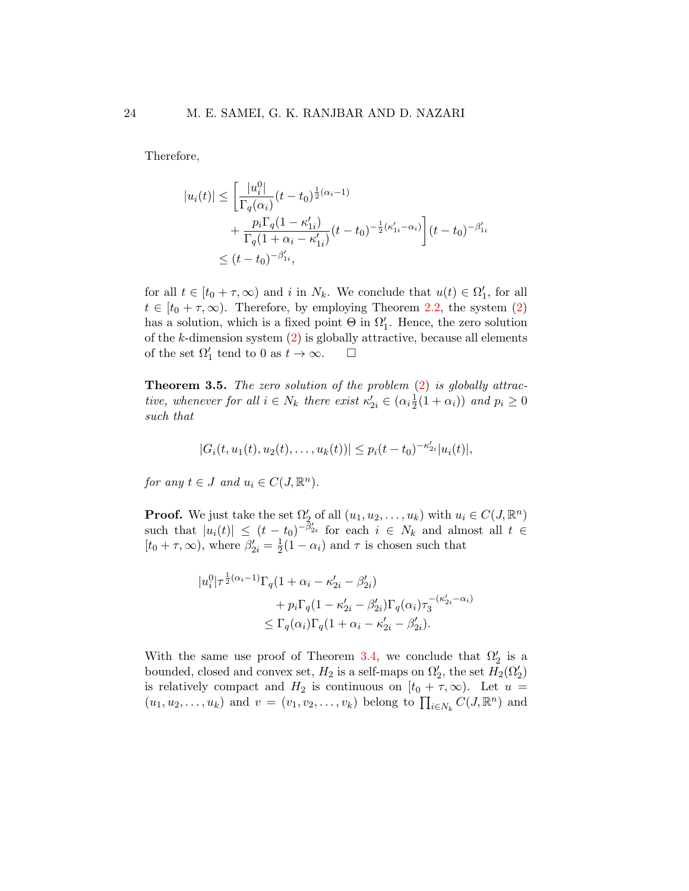Therefore,

$$
|u_i(t)| \le \left[\frac{|u_i^0|}{\Gamma_q(\alpha_i)}(t - t_0)^{\frac{1}{2}(\alpha_i - 1)} + \frac{p_i \Gamma_q(1 - \kappa'_{1i})}{\Gamma_q(1 + \alpha_i - \kappa'_{1i})}(t - t_0)^{-\frac{1}{2}(\kappa'_{1i} - \alpha_i)}\right](t - t_0)^{-\beta'_{1i}} \le (t - t_0)^{-\beta'_{1i}},
$$

for all  $t \in [t_0 + \tau, \infty)$  and i in  $N_k$ . We conclude that  $u(t) \in \Omega'_1$ , for all  $t \in [t_0 + \tau, \infty)$ . Therefore, by employing Theorem [2.2,](#page-8-2) the system [\(2\)](#page-4-1) has a solution, which is a fixed point  $\Theta$  in  $\Omega'_1$ . Hence, the zero solution of the k-dimension system  $(2)$  is globally attractive, because all elements of the set  $\Omega'_1$  tend to 0 as  $t \to \infty$ .  $\Box$ 

**Theorem 3.5.** The zero solution of the problem  $(2)$  is globally attractive, whenever for all  $i \in N_k$  there exist  $\kappa'_{2i} \in (\alpha_i \frac{1}{2})$  $\frac{1}{2}(1+\alpha_i)$  and  $p_i \geq 0$ such that

$$
|G_i(t, u_1(t), u_2(t), \dots, u_k(t))| \le p_i(t - t_0)^{-\kappa'_{2i}} |u_i(t)|,
$$

for any  $t \in J$  and  $u_i \in C(J, \mathbb{R}^n)$ .

**Proof.** We just take the set  $\Omega'_2$  of all  $(u_1, u_2, \dots, u_k)$  with  $u_i \in C(J, \mathbb{R}^n)$ such that  $|u_i(t)| \le (t-t_0)^{-\tilde{\beta}'_{2i}}$  for each  $i \in N_k$  and almost all  $t \in$  $[t_0 + \tau, \infty)$ , where  $\beta'_{2i} = \frac{1}{2}$  $\frac{1}{2}(1-\alpha_i)$  and  $\tau$  is chosen such that

$$
|u_i^0|\tau^{\frac{1}{2}(\alpha_i-1)}\Gamma_q(1+\alpha_i-\kappa'_{2i}-\beta'_{2i})
$$
  
+  $p_i\Gamma_q(1-\kappa'_{2i}-\beta'_{2i})\Gamma_q(\alpha_i)\tau_3^{-(\kappa'_{2i}-\alpha_i)}$   

$$
\leq \Gamma_q(\alpha_i)\Gamma_q(1+\alpha_i-\kappa'_{2i}-\beta'_{2i}).
$$

With the same use proof of Theorem [3.4,](#page-17-0) we conclude that  $\Omega_2'$  is a bounded, closed and convex set,  $H_2$  is a self-maps on  $\Omega'_2$ , the set  $H_2(\Omega'_2)$ is relatively compact and  $H_2$  is continuous on  $[t_0 + \tau, \infty)$ . Let  $u =$  $(u_1, u_2, \ldots, u_k)$  and  $v = (v_1, v_2, \ldots, v_k)$  belong to  $\prod_{i \in N_k} C(J, \mathbb{R}^n)$  and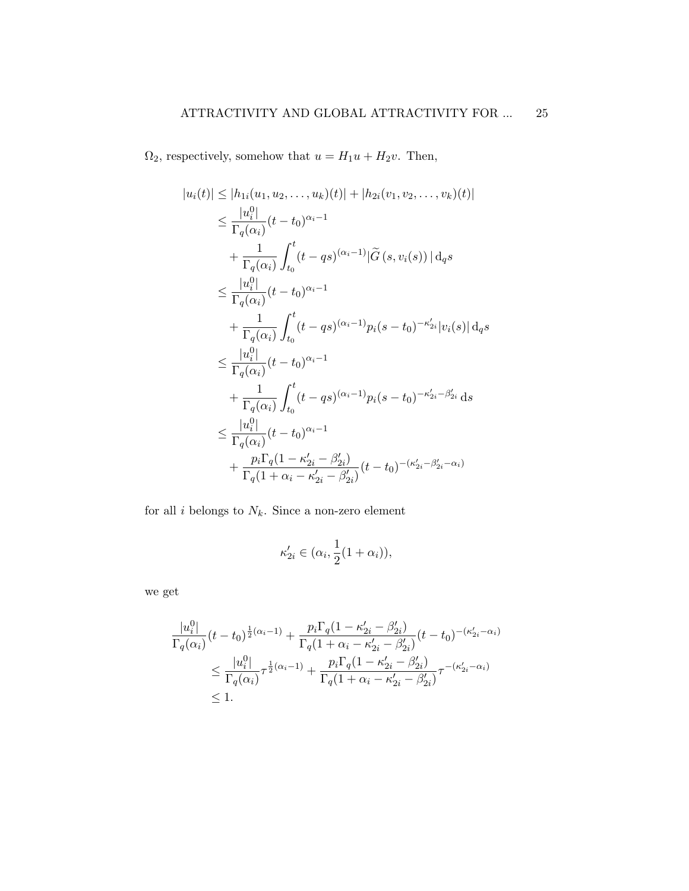$\Omega_2$ , respectively, somehow that  $u = H_1u + H_2v$ . Then,

$$
|u_i(t)| \leq |h_{1i}(u_1, u_2, \dots, u_k)(t)| + |h_{2i}(v_1, v_2, \dots, v_k)(t)|
$$
  
\n
$$
\leq \frac{|u_i^0|}{\Gamma_q(\alpha_i)} (t - t_0)^{\alpha_i - 1}
$$
  
\n
$$
+ \frac{1}{\Gamma_q(\alpha_i)} \int_{t_0}^t (t - qs)^{(\alpha_i - 1)} |\widetilde{G}(s, v_i(s))| \,d q s
$$
  
\n
$$
\leq \frac{|u_i^0|}{\Gamma_q(\alpha_i)} (t - t_0)^{\alpha_i - 1}
$$
  
\n
$$
+ \frac{1}{\Gamma_q(\alpha_i)} \int_{t_0}^t (t - qs)^{(\alpha_i - 1)} p_i(s - t_0)^{-\kappa'_{2i}} |v_i(s)| \,d q s
$$
  
\n
$$
\leq \frac{|u_i^0|}{\Gamma_q(\alpha_i)} (t - t_0)^{\alpha_i - 1}
$$
  
\n
$$
+ \frac{1}{\Gamma_q(\alpha_i)} \int_{t_0}^t (t - qs)^{(\alpha_i - 1)} p_i(s - t_0)^{-\kappa'_{2i} - \beta'_{2i}} \,ds
$$
  
\n
$$
\leq \frac{|u_i^0|}{\Gamma_q(\alpha_i)} (t - t_0)^{\alpha_i - 1}
$$
  
\n
$$
+ \frac{p_i \Gamma_q(1 - \kappa'_{2i} - \beta'_{2i})}{\Gamma_q(1 + \alpha_i - \kappa'_{2i} - \beta'_{2i})} (t - t_0)^{-(\kappa'_{2i} - \beta'_{2i} - \alpha_i)}
$$

for all  $i$  belongs to  $N_k.$  Since a non-zero element

$$
\kappa'_{2i}\in(\alpha_i,\frac{1}{2}(1+\alpha_i)),
$$

we get

$$
\frac{|u_i^0|}{\Gamma_q(\alpha_i)}(t-t_0)^{\frac{1}{2}(\alpha_i-1)} + \frac{p_i\Gamma_q(1-\kappa_{2i}'-\beta_{2i}')}{\Gamma_q(1+\alpha_i-\kappa_{2i}'-\beta_{2i}')}(t-t_0)^{-(\kappa_{2i}'-\alpha_i)}
$$
  

$$
\leq \frac{|u_i^0|}{\Gamma_q(\alpha_i)}\tau^{\frac{1}{2}(\alpha_i-1)} + \frac{p_i\Gamma_q(1-\kappa_{2i}'-\beta_{2i}')}{\Gamma_q(1+\alpha_i-\kappa_{2i}'-\beta_{2i}')}\tau^{-(\kappa_{2i}'-\alpha_i)}
$$
  

$$
\leq 1.
$$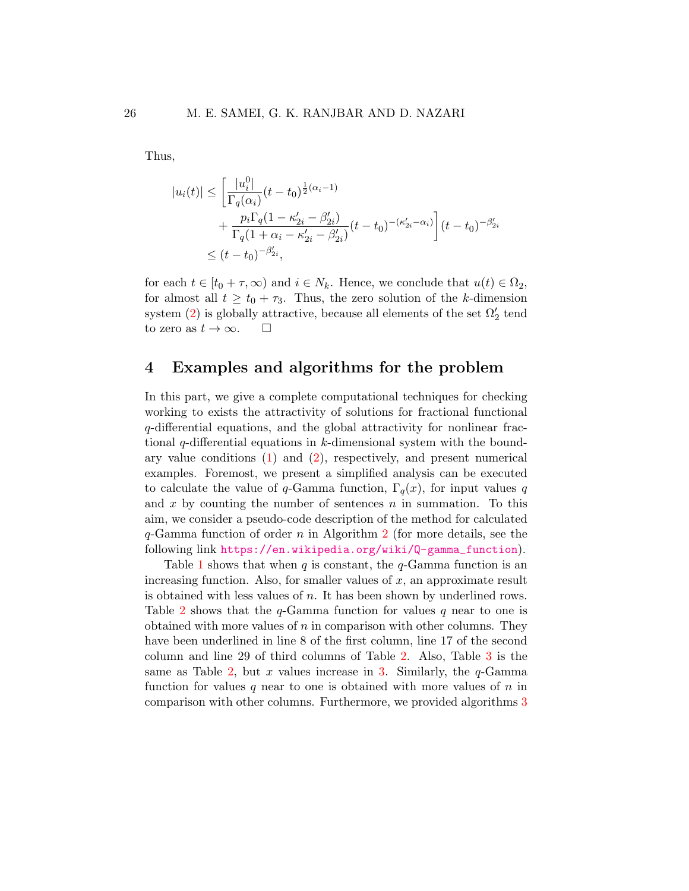Thus,

$$
|u_i(t)| \leq \left[\frac{|u_i^0|}{\Gamma_q(\alpha_i)}(t-t_0)^{\frac{1}{2}(\alpha_i-1)} + \frac{p_i \Gamma_q(1-\kappa_{2i}'-\beta_{2i}')}{\Gamma_q(1+\alpha_i-\kappa_{2i}'-\beta_{2i}')}(t-t_0)^{-(\kappa_{2i}'-\alpha_i)}\right](t-t_0)^{-\beta_{2i}'} \leq (t-t_0)^{-\beta_{2i}'},
$$

for each  $t \in [t_0 + \tau, \infty)$  and  $i \in N_k$ . Hence, we conclude that  $u(t) \in \Omega_2$ , for almost all  $t \geq t_0 + \tau_3$ . Thus, the zero solution of the k-dimension system [\(2\)](#page-4-1) is globally attractive, because all elements of the set  $\Omega_2'$  tend to zero as  $t \to \infty$ .  $\Box$ 

## <span id="page-25-0"></span>4 Examples and algorithms for the problem

In this part, we give a complete computational techniques for checking working to exists the attractivity of solutions for fractional functional q-differential equations, and the global attractivity for nonlinear fractional  $q$ -differential equations in k-dimensional system with the boundary value conditions  $(1)$  and  $(2)$ , respectively, and present numerical examples. Foremost, we present a simplified analysis can be executed to calculate the value of q-Gamma function,  $\Gamma_q(x)$ , for input values q and x by counting the number of sentences  $n$  in summation. To this aim, we consider a pseudo-code description of the method for calculated  $q$ -Gamma function of order n in Algorithm [2](#page-6-1) (for more details, see the following link [https://en.wikipedia.org/wiki/Q-gamma\\_function](https://en.wikipedia.org/wiki/Q-gamma_function)).

Table [1](#page-26-0) shows that when  $q$  is constant, the  $q$ -Gamma function is an increasing function. Also, for smaller values of  $x$ , an approximate result is obtained with less values of n. It has been shown by underlined rows. Table [2](#page-26-1) shows that the  $q$ -Gamma function for values q near to one is obtained with more values of  $n$  in comparison with other columns. They have been underlined in line 8 of the first column, line 17 of the second column and line 29 of third columns of Table [2.](#page-26-1) Also, Table [3](#page-27-0) is the same as Table [2,](#page-26-1) but x values increase in [3.](#page-27-0) Similarly, the  $q$ -Gamma function for values q near to one is obtained with more values of  $n$  in comparison with other columns. Furthermore, we provided algorithms [3](#page-7-0)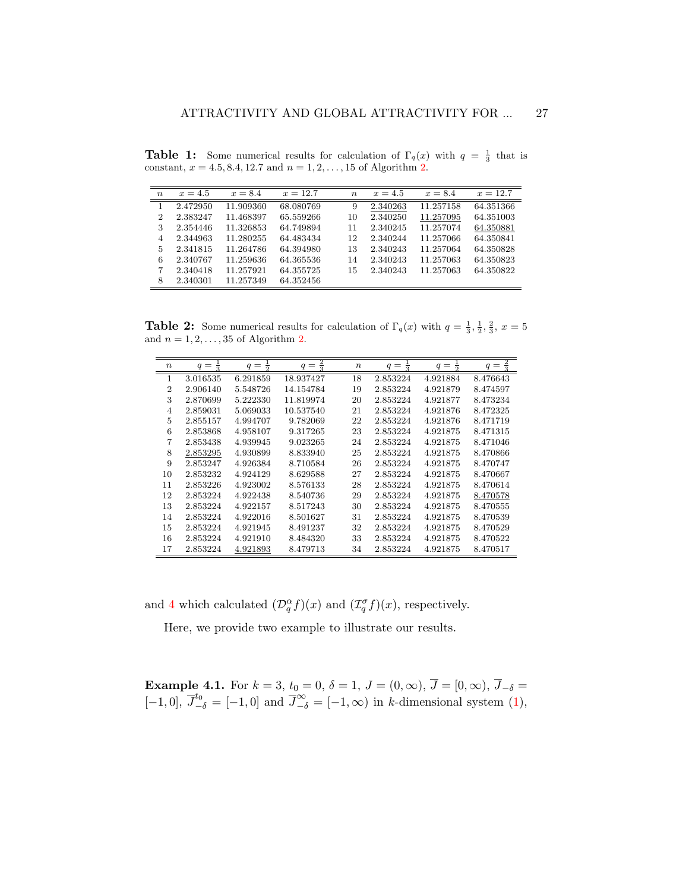| $\boldsymbol{n}$ | $x=4.5$  | $x = 8.4$ | $x = 12.7$ | $\boldsymbol{n}$ | $x = 4.5$ | $x = 8.4$ | $x = 12.7$ |
|------------------|----------|-----------|------------|------------------|-----------|-----------|------------|
|                  | 2.472950 | 11.909360 | 68.080769  | 9                | 2.340263  | 11.257158 | 64.351366  |
| 2                | 2.383247 | 11.468397 | 65.559266  | 10               | 2.340250  | 11.257095 | 64.351003  |
| 3                | 2.354446 | 11.326853 | 64.749894  | 11               | 2.340245  | 11.257074 | 64.350881  |
| 4                | 2.344963 | 11.280255 | 64.483434  | 12               | 2.340244  | 11.257066 | 64.350841  |
| 5                | 2.341815 | 11.264786 | 64.394980  | 13               | 2.340243  | 11.257064 | 64.350828  |
| 6                | 2.340767 | 11.259636 | 64.365536  | 14               | 2.340243  | 11.257063 | 64.350823  |
| 7                | 2.340418 | 11.257921 | 64.355725  | 15               | 2.340243  | 11.257063 | 64.350822  |
| 8                | 2.340301 | 11.257349 | 64.352456  |                  |           |           |            |

<span id="page-26-0"></span>**Table 1:** Some numerical results for calculation of  $\Gamma_q(x)$  with  $q = \frac{1}{3}$  that is constant,  $x = 4.5, 8.4, 12.7$  $x = 4.5, 8.4, 12.7$  $x = 4.5, 8.4, 12.7$  and  $n = 1, 2, ..., 15$  of Algorithm 2.

<span id="page-26-1"></span>**Table 2:** Some numerical results for calculation of  $\Gamma_q(x)$  with  $q = \frac{1}{3}, \frac{1}{2}, \frac{2}{3}, x = 5$ and  $n = 1, 2, \ldots, 35$  of Algorithm [2.](#page-6-1)

| $\boldsymbol{n}$ | $q =$<br>$\overline{3}$ | $q =$<br>$\overline{2}$ | $\frac{2}{3}$<br>$q =$ | $\, n$ | $q =$<br>$\overline{3}$ | $q =$<br>$\overline{2}$ | $\frac{2}{3}$<br>$q =$ |
|------------------|-------------------------|-------------------------|------------------------|--------|-------------------------|-------------------------|------------------------|
| 1                | 3.016535                | 6.291859                | 18.937427              | 18     | 2.853224                | 4.921884                | 8.476643               |
| $\overline{2}$   | 2.906140                | 5.548726                | 14.154784              | 19     | 2.853224                | 4.921879                | 8.474597               |
| 3                | 2.870699                | 5.222330                | 11.819974              | 20     | 2.853224                | 4.921877                | 8.473234               |
| 4                | 2.859031                | 5.069033                | 10.537540              | 21     | 2.853224                | 4.921876                | 8.472325               |
| 5                | 2.855157                | 4.994707                | 9.782069               | 22     | 2.853224                | 4.921876                | 8.471719               |
| 6                | 2.853868                | 4.958107                | 9.317265               | 23     | 2.853224                | 4.921875                | 8.471315               |
| 7                | 2.853438                | 4.939945                | 9.023265               | 24     | 2.853224                | 4.921875                | 8.471046               |
| 8                | 2.853295                | 4.930899                | 8.833940               | 25     | 2.853224                | 4.921875                | 8.470866               |
| 9                | 2.853247                | 4.926384                | 8.710584               | 26     | 2.853224                | 4.921875                | 8.470747               |
| 10               | 2.853232                | 4.924129                | 8.629588               | 27     | 2.853224                | 4.921875                | 8.470667               |
| 11               | 2.853226                | 4.923002                | 8.576133               | 28     | 2.853224                | 4.921875                | 8.470614               |
| 12               | 2.853224                | 4.922438                | 8.540736               | 29     | 2.853224                | 4.921875                | 8.470578               |
| 13               | 2.853224                | 4.922157                | 8.517243               | 30     | 2.853224                | 4.921875                | 8.470555               |
| 14               | 2.853224                | 4.922016                | 8.501627               | 31     | 2.853224                | 4.921875                | 8.470539               |
| 15               | 2.853224                | 4.921945                | 8.491237               | 32     | 2.853224                | 4.921875                | 8.470529               |
| 16               | 2.853224                | 4.921910                | 8.484320               | 33     | 2.853224                | 4.921875                | 8.470522               |
| 17               | 2.853224                | 4.921893                | 8.479713               | 34     | 2.853224                | 4.921875                | 8.470517               |

and [4](#page-8-0) which calculated  $(\mathcal{D}_{q}^{\alpha}f)(x)$  and  $(\mathcal{I}_{q}^{\sigma}f)(x)$ , respectively.

Here, we provide two example to illustrate our results.

<span id="page-26-2"></span>**Example 4.1.** For  $k = 3$ ,  $t_0 = 0$ ,  $\delta = 1$ ,  $J = (0, \infty)$ ,  $J = [0, \infty)$ ,  $J_{-\delta} =$ [-1,0],  $\overline{J}_{-\delta}^{t_0} = [-1,0]$  and  $\overline{J}_{-\delta}^{\infty} = [-1,\infty)$  in k-dimensional system [\(1\)](#page-4-0),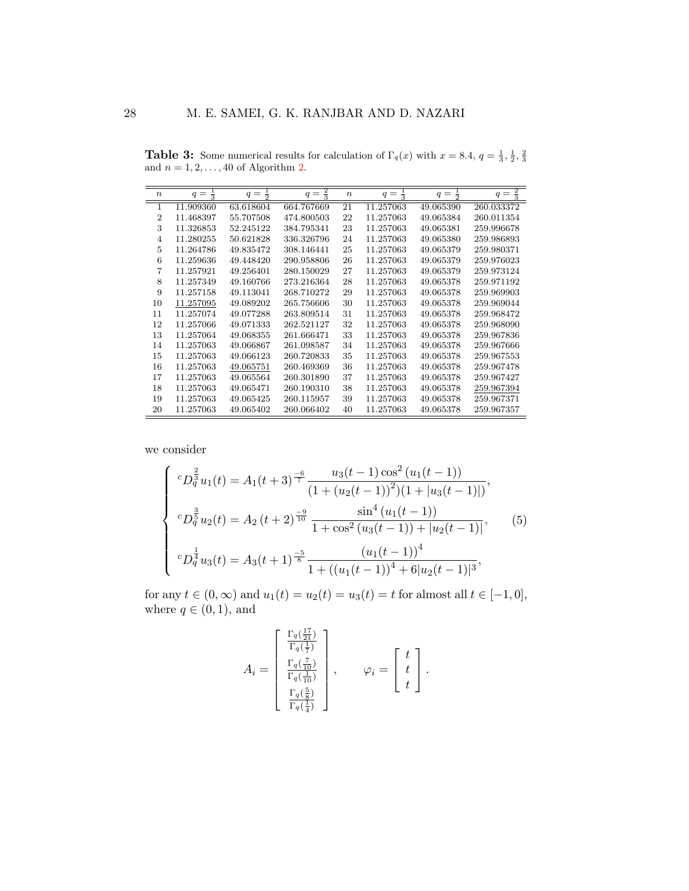<span id="page-27-0"></span>**Table 3:** Some numerical results for calculation of  $\Gamma_q(x)$  with  $x = 8.4$ ,  $q = \frac{1}{3}, \frac{1}{2}, \frac{2}{3}$ and  $n = 1, 2, \ldots, 40$  of Algorithm [2.](#page-6-1)

| $\boldsymbol{n}$ | $q =$<br>$\frac{1}{3}$ | $\frac{1}{2}$<br>$q =$ | $\frac{2}{3}$<br>$q =$ | $\boldsymbol{n}$ | $q =$<br>$\bar{\bar{z}}$ | $\frac{1}{2}$<br>$q =$ | $\frac{2}{3}$<br>$q =$ |
|------------------|------------------------|------------------------|------------------------|------------------|--------------------------|------------------------|------------------------|
| 1                | 11.909360              | 63.618604              | 664.767669             | 21               | 11.257063                | 49.065390              | 260.033372             |
| $\overline{2}$   | 11.468397              | 55.707508              | 474.800503             | 22               | 11.257063                | 49.065384              | 260.011354             |
| 3                | 11.326853              | 52.245122              | 384.795341             | 23               | 11.257063                | 49.065381              | 259.996678             |
| $\overline{4}$   | 11.280255              | 50.621828              | 336.326796             | 24               | 11.257063                | 49.065380              | 259.986893             |
| 5                | 11.264786              | 49.835472              | 308.146441             | 25               | 11.257063                | 49.065379              | 259.980371             |
| 6                | 11.259636              | 49.448420              | 290.958806             | 26               | 11.257063                | 49.065379              | 259.976023             |
| 7                | 11.257921              | 49.256401              | 280.150029             | 27               | 11.257063                | 49.065379              | 259.973124             |
| 8                | 11.257349              | 49.160766              | 273.216364             | 28               | 11.257063                | 49.065378              | 259.971192             |
| 9                | 11.257158              | 49.113041              | 268.710272             | 29               | 11.257063                | 49.065378              | 259.969903             |
| 10               | 11.257095              | 49.089202              | 265.756606             | 30               | 11.257063                | 49.065378              | 259.969044             |
| 11               | 11.257074              | 49.077288              | 263.809514             | 31               | 11.257063                | 49.065378              | 259.968472             |
| 12               | 11.257066              | 49.071333              | 262.521127             | 32               | 11.257063                | 49.065378              | 259.968090             |
| 13               | 11.257064              | 49.068355              | 261.666471             | 33               | 11.257063                | 49.065378              | 259.967836             |
| 14               | 11.257063              | 49.066867              | 261.098587             | 34               | 11.257063                | 49.065378              | 259.967666             |
| 15               | 11.257063              | 49.066123              | 260.720833             | 35               | 11.257063                | 49.065378              | 259.967553             |
| 16               | 11.257063              | 49.065751              | 260.469369             | 36               | 11.257063                | 49.065378              | 259.967478             |
| 17               | 11.257063              | 49.065564              | 260.301890             | 37               | 11.257063                | 49.065378              | 259.967427             |
| 18               | 11.257063              | 49.065471              | 260.190310             | 38               | 11.257063                | 49.065378              | 259.967394             |
| 19               | 11.257063              | 49.065425              | 260.115957             | 39               | 11.257063                | 49.065378              | 259.967371             |
| 20               | 11.257063              | 49.065402              | 260.066402             | 40               | 11.257063                | 49.065378              | 259.967357             |

we consider

$$
\begin{cases}\nc_D^{\frac{2}{3}}u_1(t) = A_1(t+3)^{\frac{-6}{7}} \frac{u_3(t-1)\cos^2(u_1(t-1))}{(1+(u_2(t-1))^2)(1+|u_3(t-1)|)},\\
c_D^{\frac{3}{5}}u_2(t) = A_2(t+2)^{\frac{-9}{10}} \frac{\sin^4(u_1(t-1))}{1+\cos^2(u_3(t-1))+|u_2(t-1)|},\\
c_D^{\frac{1}{4}}u_3(t) = A_3(t+1)^{\frac{-5}{8}} \frac{(u_1(t-1))^4}{1+((u_1(t-1))^4+6|u_2(t-1)|^3},\n\end{cases} (5)
$$

for any  $t \in (0, \infty)$  and  $u_1(t) = u_2(t) = u_3(t) = t$  for almost all  $t \in [-1, 0]$ , where  $q \in (0, 1)$ , and

$$
A_i = \begin{bmatrix} \frac{\Gamma_q(\frac{17}{21})}{\Gamma_q(\frac{1}{7})} \\ \frac{\Gamma_q(\frac{7}{10})}{\Gamma_q(\frac{1}{10})} \\ \frac{\Gamma_q(\frac{5}{8})}{\Gamma_q(\frac{1}{4})} \end{bmatrix}, \qquad \varphi_i = \begin{bmatrix} t \\ t \\ t \end{bmatrix}.
$$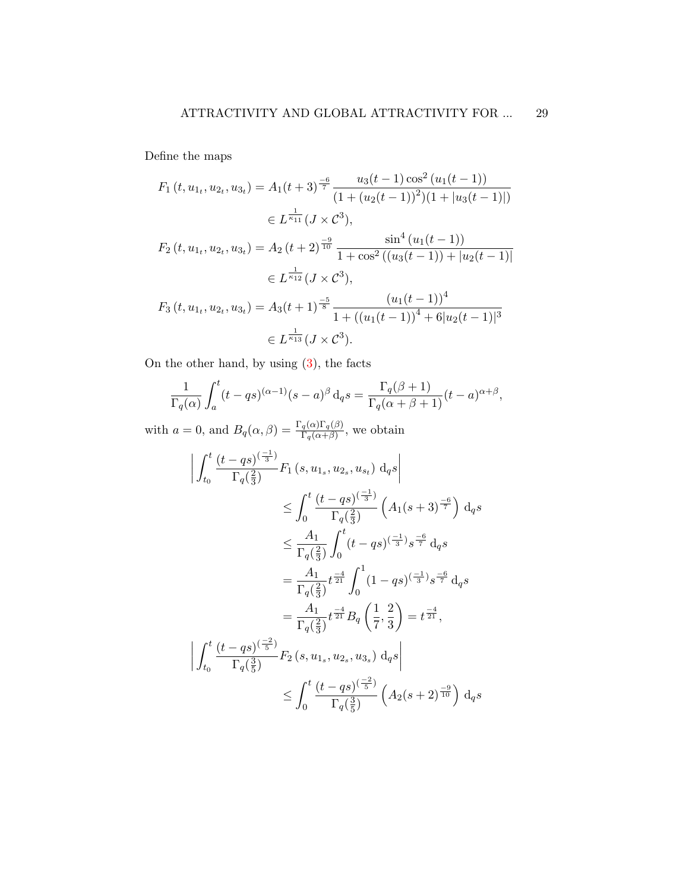Define the maps

$$
F_1(t, u_{1t}, u_{2t}, u_{3t}) = A_1(t+3)^{\frac{-6}{7}} \frac{u_3(t-1)\cos^2(u_1(t-1))}{(1 + (u_2(t-1))^2)(1 + |u_3(t-1)|)}
$$
  
\n
$$
\in L^{\frac{1}{\kappa_{11}}}(J \times \mathcal{C}^3),
$$
  
\n
$$
F_2(t, u_{1t}, u_{2t}, u_{3t}) = A_2(t+2)^{\frac{-9}{10}} \frac{\sin^4(u_1(t-1))}{1 + \cos^2((u_3(t-1)) + |u_2(t-1)|)}
$$
  
\n
$$
\in L^{\frac{1}{\kappa_{12}}}(J \times \mathcal{C}^3),
$$
  
\n
$$
F_3(t, u_{1t}, u_{2t}, u_{3t}) = A_3(t+1)^{\frac{-5}{8}} \frac{(u_1(t-1))^4}{1 + ((u_1(t-1))^4 + 6|u_2(t-1)|^3)}
$$
  
\n
$$
\in L^{\frac{1}{\kappa_{13}}}(J \times \mathcal{C}^3).
$$

On the other hand, by using [\(3\)](#page-6-1), the facts

$$
\frac{1}{\Gamma_q(\alpha)} \int_a^t (t - qs)^{(\alpha - 1)} (s - a)^{\beta} d_q s = \frac{\Gamma_q(\beta + 1)}{\Gamma_q(\alpha + \beta + 1)} (t - a)^{\alpha + \beta},
$$

with  $a = 0$ , and  $B_q(\alpha, \beta) = \frac{\Gamma_q(\alpha)\Gamma_q(\beta)}{\Gamma_q(\alpha+\beta)}$ , we obtain

$$
\left| \int_{t_0}^{t} \frac{(t - qs)^{(\frac{-1}{3})}}{\Gamma_q(\frac{2}{3})} F_1(s, u_{1_s}, u_{2_s}, u_{s_t}) \, d_q s \right|
$$
  
\n
$$
\leq \int_0^t \frac{(t - qs)^{(\frac{-1}{3})}}{\Gamma_q(\frac{2}{3})} \left( A_1(s + 3)^{\frac{-6}{7}} \right) \, d_q s
$$
  
\n
$$
\leq \frac{A_1}{\Gamma_q(\frac{2}{3})} \int_0^t (t - qs)^{(\frac{-1}{3})} s^{\frac{-6}{7}} \, d_q s
$$
  
\n
$$
= \frac{A_1}{\Gamma_q(\frac{2}{3})} t^{\frac{-4}{21}} \int_0^1 (1 - qs)^{(\frac{-1}{3})} s^{\frac{-6}{7}} \, d_q s
$$
  
\n
$$
= \frac{A_1}{\Gamma_q(\frac{2}{3})} t^{\frac{-4}{21}} B_q \left( \frac{1}{7}, \frac{2}{3} \right) = t^{\frac{-4}{21}},
$$
  
\n
$$
\left| \int_{t_0}^t \frac{(t - qs)^{(\frac{-2}{5})}}{\Gamma_q(\frac{3}{5})} F_2(s, u_{1_s}, u_{2_s}, u_{3_s}) \, d_q s \right|
$$
  
\n
$$
\leq \int_0^t \frac{(t - qs)^{(\frac{-2}{5})}}{\Gamma_q(\frac{3}{5})} \left( A_2(s + 2)^{\frac{-9}{10}} \right) d_q s
$$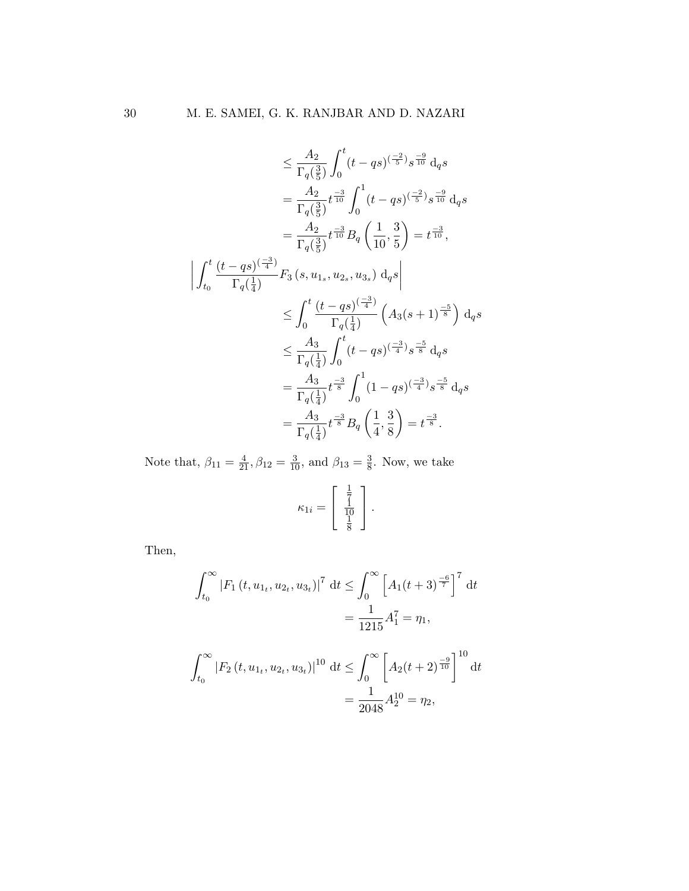$$
\leq \frac{A_2}{\Gamma_q(\frac{3}{5})} \int_0^t (t - qs)^{(\frac{-2}{5})} s^{\frac{-9}{10}} d_q s
$$
\n
$$
= \frac{A_2}{\Gamma_q(\frac{3}{5})} t^{\frac{-3}{10}} \int_0^1 (t - qs)^{(\frac{-2}{5})} s^{\frac{-9}{10}} d_q s
$$
\n
$$
= \frac{A_2}{\Gamma_q(\frac{3}{5})} t^{\frac{-3}{10}} B_q \left( \frac{1}{10}, \frac{3}{5} \right) = t^{\frac{-3}{10}},
$$
\n
$$
\left| \int_{t_0}^t \frac{(t - qs)^{(\frac{-3}{4})}}{\Gamma_q(\frac{1}{4})} F_3 (s, u_{1s}, u_{2s}, u_{3s}) d_q s \right|
$$
\n
$$
\leq \int_0^t \frac{(t - qs)^{(\frac{-3}{4})}}{\Gamma_q(\frac{1}{4})} \left( A_3 (s + 1)^{\frac{-5}{8}} \right) d_q s
$$
\n
$$
\leq \frac{A_3}{\Gamma_q(\frac{1}{4})} \int_0^t (t - qs)^{(\frac{-3}{4})} s^{\frac{-5}{8}} d_q s
$$
\n
$$
= \frac{A_3}{\Gamma_q(\frac{1}{4})} t^{\frac{-3}{8}} \int_0^1 (1 - qs)^{(\frac{-3}{4})} s^{\frac{-5}{8}} d_q s
$$
\n
$$
= \frac{A_3}{\Gamma_q(\frac{1}{4})} t^{\frac{-3}{8}} B_q \left( \frac{1}{4}, \frac{3}{8} \right) = t^{\frac{-3}{8}}.
$$

Note that,  $\beta_{11} = \frac{4}{21}, \beta_{12} = \frac{3}{10}$ , and  $\beta_{13} = \frac{3}{8}$  $\frac{3}{8}$ . Now, we take

$$
\kappa_{1i} = \left[\begin{array}{c} \frac{1}{7} \\ \frac{1}{10} \\ \frac{1}{8} \end{array}\right].
$$

Then,

$$
\int_{t_0}^{\infty} |F_1(t, u_{1t}, u_{2t}, u_{3t})|^7 dt \le \int_0^{\infty} \left[ A_1(t+3)^{-6 \over 7} \right]^7 dt
$$

$$
= \frac{1}{1215} A_1^7 = \eta_1,
$$

$$
\int_{t_0}^{\infty} |F_2(t, u_{1t}, u_{2t}, u_{3t})|^{10} dt \le \int_{0}^{\infty} \left[ A_2(t+2)^{\frac{-9}{10}} \right]^{10} dt
$$

$$
= \frac{1}{2048} A_2^{10} = \eta_2,
$$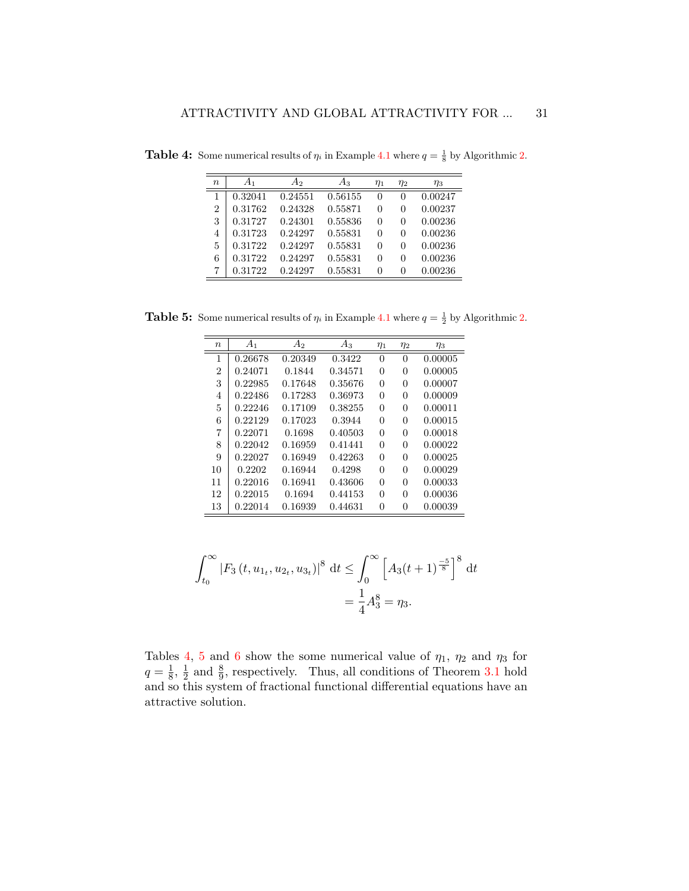| $\boldsymbol{n}$ | A1      | $A_2$   | $A_3$   | $\eta_1$ | $\eta_2$ | $\eta_3$ |
|------------------|---------|---------|---------|----------|----------|----------|
|                  | 0.32041 | 0.24551 | 0.56155 | 0        | 0        | 0.00247  |
| $\overline{2}$   | 0.31762 | 0.24328 | 0.55871 | 0        | 0        | 0.00237  |
| 3                | 0.31727 | 0.24301 | 0.55836 | 0        | 0        | 0.00236  |
| 4                | 0.31723 | 0.24297 | 0.55831 | 0        | 0        | 0.00236  |
| 5                | 0.31722 | 0.24297 | 0.55831 | 0        | $\theta$ | 0.00236  |
| 6                | 0.31722 | 0.24297 | 0.55831 | 0        | 0        | 0.00236  |
|                  | 0.31722 | 0.24297 | 0.55831 | 0        | 0        | 0.00236  |

<span id="page-30-0"></span>**Table 4:** Some numerical results of  $\eta_i$  in Example [4.1](#page-26-2) where  $q = \frac{1}{8}$  by Algorithmic [2.](#page-6-1)

<span id="page-30-1"></span>**Table 5:** Some numerical results of  $\eta_i$  in Example [4.1](#page-26-2) where  $q = \frac{1}{2}$  by Algorithmic [2.](#page-6-1)

| $\, n$ | A <sub>1</sub> | $A_2$   | $A_3$   | $\eta_1$ | $\eta_2$ | $\eta_3$ |
|--------|----------------|---------|---------|----------|----------|----------|
| 1      | 0.26678        | 0.20349 | 0.3422  | 0        | 0        | 0.00005  |
| 2      | 0.24071        | 0.1844  | 0.34571 | 0        | 0        | 0.00005  |
| 3      | 0.22985        | 0.17648 | 0.35676 | 0        | 0        | 0.00007  |
| 4      | 0.22486        | 0.17283 | 0.36973 | 0        | 0        | 0.00009  |
| 5      | 0.22246        | 0.17109 | 0.38255 | 0        | 0        | 0.00011  |
| 6      | 0.22129        | 0.17023 | 0.3944  | 0        | 0        | 0.00015  |
| 7      | 0.22071        | 0.1698  | 0.40503 | 0        | 0        | 0.00018  |
| 8      | 0.22042        | 0.16959 | 0.41441 | 0        | 0        | 0.00022  |
| 9      | 0.22027        | 0.16949 | 0.42263 | 0        | 0        | 0.00025  |
| 10     | 0.2202         | 0.16944 | 0.4298  | 0        | 0        | 0.00029  |
| 11     | 0.22016        | 0.16941 | 0.43606 | 0        | 0        | 0.00033  |
| 12     | 0.22015        | 0.1694  | 0.44153 | 0        | 0        | 0.00036  |
| 13     | 0.22014        | 0.16939 | 0.44631 | 0        | 0        | 0.00039  |

$$
\int_{t_0}^{\infty} |F_3(t, u_{1t}, u_{2t}, u_{3t})|^8 dt \le \int_0^{\infty} \left[ A_3(t+1)^{-5 \over 8} \right]^8 dt
$$
  
=  $\frac{1}{4} A_3^8 = \eta_3.$ 

Tables [4,](#page-30-0) [5](#page-30-1) and [6](#page-31-0) show the some numerical value of  $\eta_1$ ,  $\eta_2$  and  $\eta_3$  for  $q=\frac{1}{8}$  $\frac{1}{8}, \frac{1}{2}$  $\frac{1}{2}$  and  $\frac{8}{9}$ , respectively. Thus, all conditions of Theorem [3.1](#page-10-0) hold and so this system of fractional functional differential equations have an attractive solution.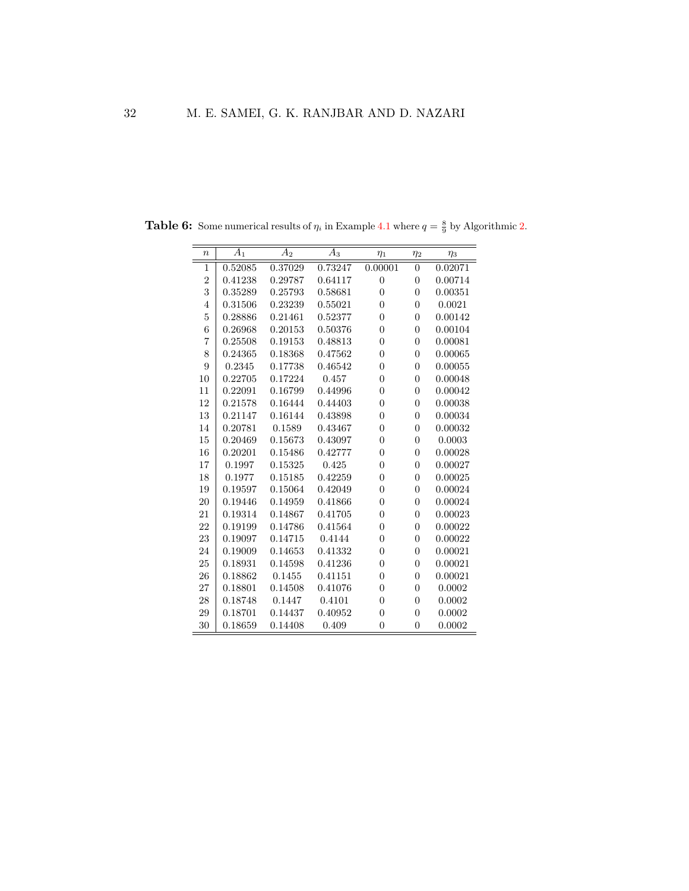| $\boldsymbol{n}$ | $A_1$   | $A_2$   | $A_3$   | $\eta_1$       | $\eta_2$       | $\eta_3$ |
|------------------|---------|---------|---------|----------------|----------------|----------|
| 1                | 0.52085 | 0.37029 | 0.73247 | 0.00001        | $\overline{0}$ | 0.02071  |
| $\overline{2}$   | 0.41238 | 0.29787 | 0.64117 | $\overline{0}$ | $\overline{0}$ | 0.00714  |
| 3                | 0.35289 | 0.25793 | 0.58681 | $\overline{0}$ | $\overline{0}$ | 0.00351  |
| $\overline{4}$   | 0.31506 | 0.23239 | 0.55021 | $\overline{0}$ | $\theta$       | 0.0021   |
| $\overline{5}$   | 0.28886 | 0.21461 | 0.52377 | $\overline{0}$ | $\overline{0}$ | 0.00142  |
| 6                | 0.26968 | 0.20153 | 0.50376 | $\overline{0}$ | $\overline{0}$ | 0.00104  |
| 7                | 0.25508 | 0.19153 | 0.48813 | $\overline{0}$ | $\overline{0}$ | 0.00081  |
| 8                | 0.24365 | 0.18368 | 0.47562 | $\overline{0}$ | $\overline{0}$ | 0.00065  |
| 9                | 0.2345  | 0.17738 | 0.46542 | $\overline{0}$ | $\overline{0}$ | 0.00055  |
| 10               | 0.22705 | 0.17224 | 0.457   | $\overline{0}$ | $\overline{0}$ | 0.00048  |
| 11               | 0.22091 | 0.16799 | 0.44996 | $\overline{0}$ | $\overline{0}$ | 0.00042  |
| 12               | 0.21578 | 0.16444 | 0.44403 | $\overline{0}$ | $\overline{0}$ | 0.00038  |
| 13               | 0.21147 | 0.16144 | 0.43898 | $\overline{0}$ | $\overline{0}$ | 0.00034  |
| 14               | 0.20781 | 0.1589  | 0.43467 | $\overline{0}$ | $\theta$       | 0.00032  |
| 15               | 0.20469 | 0.15673 | 0.43097 | $\overline{0}$ | $\theta$       | 0.0003   |
| 16               | 0.20201 | 0.15486 | 0.42777 | $\overline{0}$ | $\overline{0}$ | 0.00028  |
| 17               | 0.1997  | 0.15325 | 0.425   | $\overline{0}$ | $\overline{0}$ | 0.00027  |
| 18               | 0.1977  | 0.15185 | 0.42259 | $\overline{0}$ | $\overline{0}$ | 0.00025  |
| 19               | 0.19597 | 0.15064 | 0.42049 | $\overline{0}$ | $\overline{0}$ | 0.00024  |
| 20               | 0.19446 | 0.14959 | 0.41866 | $\overline{0}$ | $\overline{0}$ | 0.00024  |
| 21               | 0.19314 | 0.14867 | 0.41705 | $\overline{0}$ | $\overline{0}$ | 0.00023  |
| 22               | 0.19199 | 0.14786 | 0.41564 | $\overline{0}$ | $\overline{0}$ | 0.00022  |
| 23               | 0.19097 | 0.14715 | 0.4144  | $\overline{0}$ | $\overline{0}$ | 0.00022  |
| 24               | 0.19009 | 0.14653 | 0.41332 | $\overline{0}$ | $\overline{0}$ | 0.00021  |
| 25               | 0.18931 | 0.14598 | 0.41236 | $\overline{0}$ | $\overline{0}$ | 0.00021  |
| 26               | 0.18862 | 0.1455  | 0.41151 | $\overline{0}$ | $\overline{0}$ | 0.00021  |
| 27               | 0.18801 | 0.14508 | 0.41076 | $\overline{0}$ | $\overline{0}$ | 0.0002   |
| 28               | 0.18748 | 0.1447  | 0.4101  | $\overline{0}$ | $\overline{0}$ | 0.0002   |
| 29               | 0.18701 | 0.14437 | 0.40952 | $\overline{0}$ | $\overline{0}$ | 0.0002   |
| 30               | 0.18659 | 0.14408 | 0.409   | $\overline{0}$ | $\overline{0}$ | 0.0002   |

<span id="page-31-0"></span>**Table 6:** Some numerical results of  $\eta_i$  in Example [4.1](#page-26-2) where  $q = \frac{8}{9}$  by Algorithmic [2.](#page-6-1)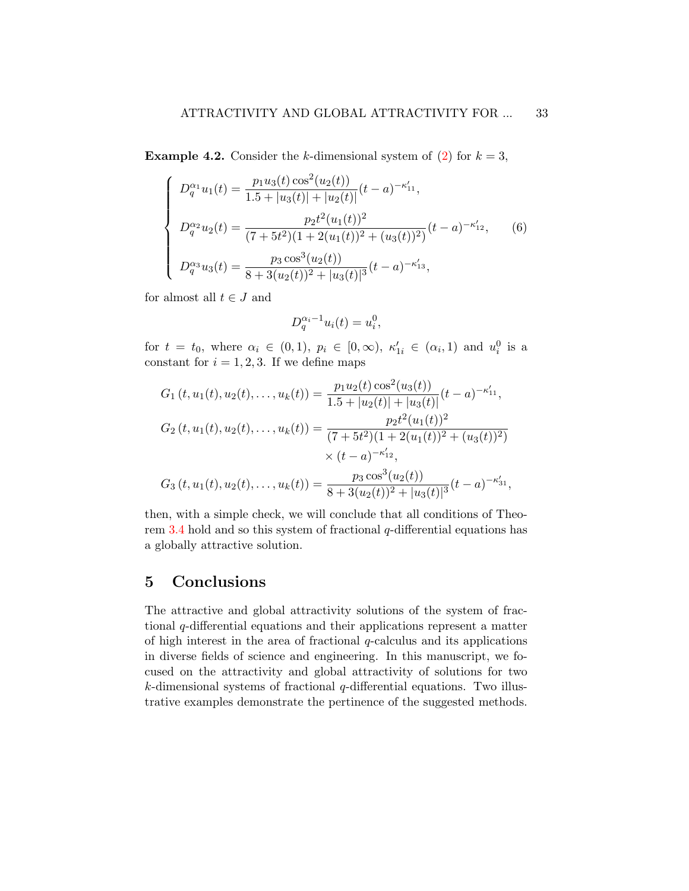**Example 4.2.** Consider the k-dimensional system of [\(2\)](#page-4-1) for  $k = 3$ ,

$$
\begin{cases}\nD_q^{\alpha_1}u_1(t) = \frac{p_1u_3(t)\cos^2(u_2(t))}{1.5 + |u_3(t)| + |u_2(t)|}(t-a)^{-\kappa'_{11}},\\ \nD_q^{\alpha_2}u_2(t) = \frac{p_2t^2(u_1(t))^2}{(7+5t^2)(1+2(u_1(t))^2 + (u_3(t))^2)}(t-a)^{-\kappa'_{12}},\\ \nD_q^{\alpha_3}u_3(t) = \frac{p_3\cos^3(u_2(t))}{8+3(u_2(t))^2 + |u_3(t)|^3}(t-a)^{-\kappa'_{13}},\n\end{cases}
$$
\n(6)

for almost all  $t \in J$  and

$$
D_q^{\alpha_i - 1} u_i(t) = u_i^0,
$$

for  $t = t_0$ , where  $\alpha_i \in (0,1)$ ,  $p_i \in [0,\infty)$ ,  $\kappa'_{1i} \in (\alpha_i,1)$  and  $u_i^0$  is a constant for  $i = 1, 2, 3$ . If we define maps

$$
G_1(t, u_1(t), u_2(t),..., u_k(t)) = \frac{p_1 u_2(t) \cos^2(u_3(t))}{1.5 + |u_2(t)| + |u_3(t)|} (t - a)^{-\kappa'_{11}},
$$
  
\n
$$
G_2(t, u_1(t), u_2(t),..., u_k(t)) = \frac{p_2 t^2 (u_1(t))^2}{(7 + 5t^2)(1 + 2(u_1(t))^2 + (u_3(t))^2)}
$$
  
\n
$$
\times (t - a)^{-\kappa'_{12}},
$$
  
\n
$$
G_3(t, u_1(t), u_2(t),..., u_k(t)) = \frac{p_3 \cos^3(u_2(t))}{8 + 3(u_2(t))^2 + |u_3(t)|^3} (t - a)^{-\kappa'_{31}},
$$

then, with a simple check, we will conclude that all conditions of Theorem [3.4](#page-17-0) hold and so this system of fractional q-differential equations has a globally attractive solution.

## <span id="page-32-0"></span>5 Conclusions

The attractive and global attractivity solutions of the system of fractional q-differential equations and their applications represent a matter of high interest in the area of fractional  $q$ -calculus and its applications in diverse fields of science and engineering. In this manuscript, we focused on the attractivity and global attractivity of solutions for two  $k$ -dimensional systems of fractional  $q$ -differential equations. Two illustrative examples demonstrate the pertinence of the suggested methods.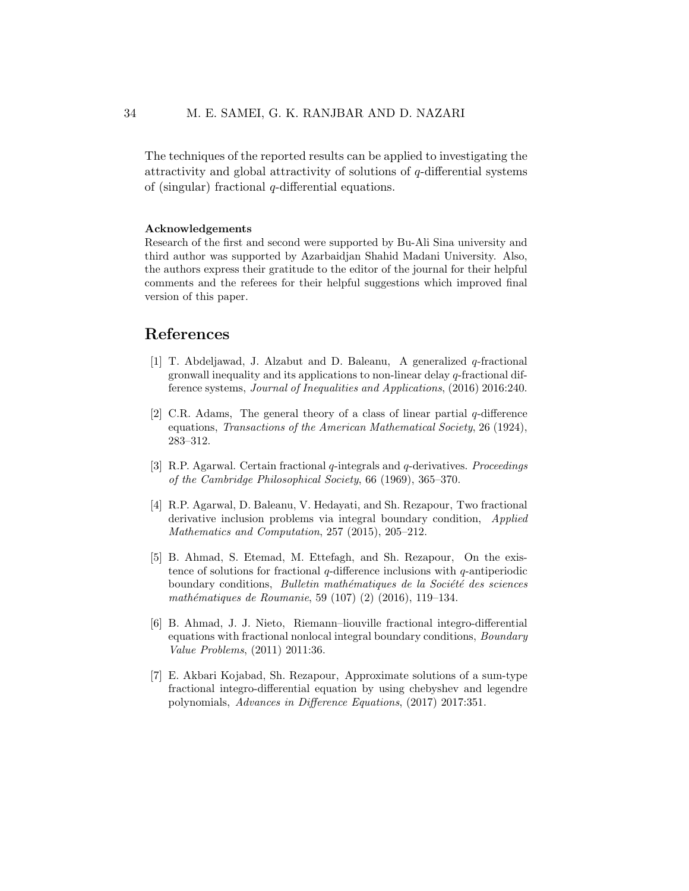The techniques of the reported results can be applied to investigating the attractivity and global attractivity of solutions of  $q$ -differential systems of (singular) fractional  $q$ -differential equations.

#### Acknowledgements

Research of the first and second were supported by Bu-Ali Sina university and third author was supported by Azarbaidjan Shahid Madani University. Also, the authors express their gratitude to the editor of the journal for their helpful comments and the referees for their helpful suggestions which improved final version of this paper.

## References

- <span id="page-33-5"></span>[1] T. Abdeljawad, J. Alzabut and D. Baleanu, A generalized q-fractional gronwall inequality and its applications to non-linear delay q-fractional difference systems, Journal of Inequalities and Applications, (2016) 2016:240.
- <span id="page-33-0"></span>[2] C.R. Adams, The general theory of a class of linear partial  $q$ -difference equations, Transactions of the American Mathematical Society, 26 (1924), 283–312.
- <span id="page-33-1"></span>[3] R.P. Agarwal. Certain fractional q-integrals and q-derivatives. Proceedings of the Cambridge Philosophical Society, 66 (1969), 365–370.
- <span id="page-33-2"></span>[4] R.P. Agarwal, D. Baleanu, V. Hedayati, and Sh. Rezapour, Two fractional derivative inclusion problems via integral boundary condition, *Applied* Mathematics and Computation, 257 (2015), 205–212.
- <span id="page-33-6"></span>[5] B. Ahmad, S. Etemad, M. Ettefagh, and Sh. Rezapour, On the existence of solutions for fractional  $q$ -difference inclusions with  $q$ -antiperiodic boundary conditions, *Bulletin mathématiques de la Société des sciences* mathématiques de Roumanie, 59 (107) (2) (2016), 119-134.
- <span id="page-33-3"></span>[6] B. Ahmad, J. J. Nieto, Riemann–liouville fractional integro-differential equations with fractional nonlocal integral boundary conditions, Boundary Value Problems, (2011) 2011:36.
- <span id="page-33-4"></span>[7] E. Akbari Kojabad, Sh. Rezapour, Approximate solutions of a sum-type fractional integro-differential equation by using chebyshev and legendre polynomials, Advances in Difference Equations, (2017) 2017:351.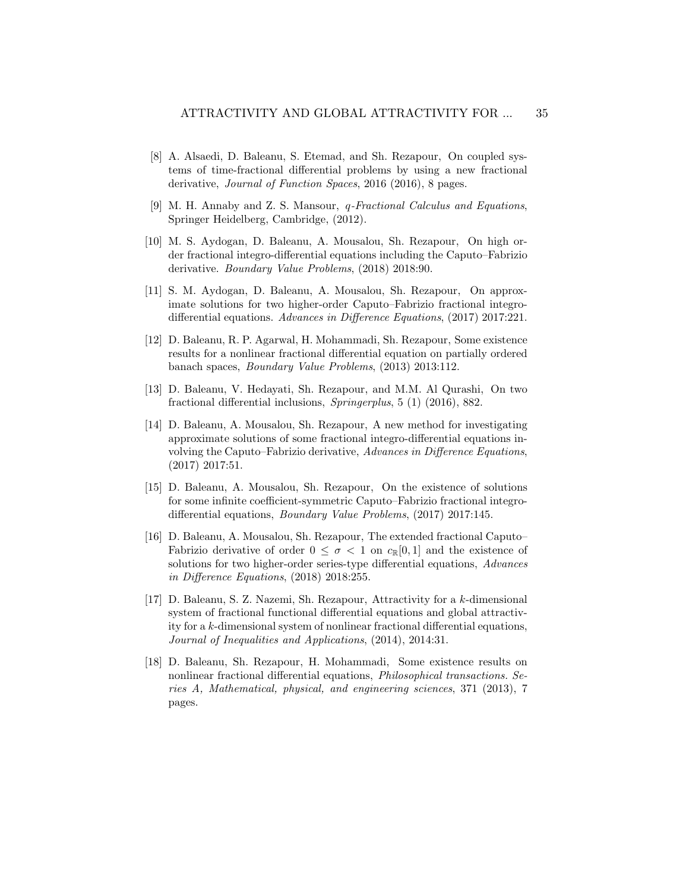- <span id="page-34-6"></span>[8] A. Alsaedi, D. Baleanu, S. Etemad, and Sh. Rezapour, On coupled systems of time-fractional differential problems by using a new fractional derivative, Journal of Function Spaces, 2016 (2016), 8 pages.
- <span id="page-34-0"></span>[9] M. H. Annaby and Z. S. Mansour, q-Fractional Calculus and Equations, Springer Heidelberg, Cambridge, (2012).
- <span id="page-34-1"></span>[10] M. S. Aydogan, D. Baleanu, A. Mousalou, Sh. Rezapour, On high order fractional integro-differential equations including the Caputo–Fabrizio derivative. Boundary Value Problems, (2018) 2018:90.
- <span id="page-34-2"></span>[11] S. M. Aydogan, D. Baleanu, A. Mousalou, Sh. Rezapour, On approximate solutions for two higher-order Caputo–Fabrizio fractional integrodifferential equations. Advances in Difference Equations, (2017) 2017:221.
- <span id="page-34-7"></span>[12] D. Baleanu, R. P. Agarwal, H. Mohammadi, Sh. Rezapour, Some existence results for a nonlinear fractional differential equation on partially ordered banach spaces, Boundary Value Problems, (2013) 2013:112.
- <span id="page-34-3"></span>[13] D. Baleanu, V. Hedayati, Sh. Rezapour, and M.M. Al Qurashi, On two fractional differential inclusions, Springerplus, 5 (1) (2016), 882.
- [14] D. Baleanu, A. Mousalou, Sh. Rezapour, A new method for investigating approximate solutions of some fractional integro-differential equations involving the Caputo–Fabrizio derivative, Advances in Difference Equations, (2017) 2017:51.
- [15] D. Baleanu, A. Mousalou, Sh. Rezapour, On the existence of solutions for some infinite coefficient-symmetric Caputo–Fabrizio fractional integrodifferential equations, Boundary Value Problems, (2017) 2017:145.
- <span id="page-34-4"></span>[16] D. Baleanu, A. Mousalou, Sh. Rezapour, The extended fractional Caputo– Fabrizio derivative of order  $0 \leq \sigma < 1$  on  $c_{\mathbb{R}}[0,1]$  and the existence of solutions for two higher-order series-type differential equations, *Advances* in Difference Equations, (2018) 2018:255.
- <span id="page-34-8"></span>[17] D. Baleanu, S. Z. Nazemi, Sh. Rezapour, Attractivity for a k-dimensional system of fractional functional differential equations and global attractivity for a k-dimensional system of nonlinear fractional differential equations, Journal of Inequalities and Applications, (2014), 2014:31.
- <span id="page-34-5"></span>[18] D. Baleanu, Sh. Rezapour, H. Mohammadi, Some existence results on nonlinear fractional differential equations, Philosophical transactions. Series A, Mathematical, physical, and engineering sciences, 371 (2013), 7 pages.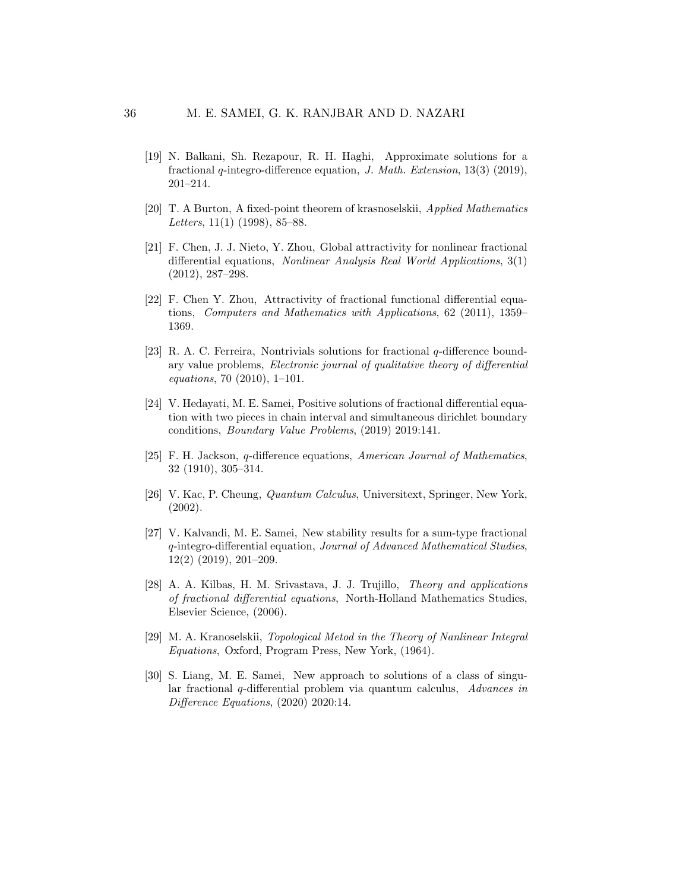- <span id="page-35-3"></span>[19] N. Balkani, Sh. Rezapour, R. H. Haghi, Approximate solutions for a fractional q-integro-difference equation, J. Math. Extension, 13(3) (2019), 201–214.
- <span id="page-35-10"></span>[20] T. A Burton, A fixed-point theorem of krasnoselskii, Applied Mathematics Letters, 11(1) (1998), 85–88.
- <span id="page-35-5"></span>[21] F. Chen, J. J. Nieto, Y. Zhou, Global attractivity for nonlinear fractional differential equations, Nonlinear Analysis Real World Applications, 3(1) (2012), 287–298.
- <span id="page-35-6"></span>[22] F. Chen Y. Zhou, Attractivity of fractional functional differential equations, Computers and Mathematics with Applications, 62 (2011), 1359– 1369.
- <span id="page-35-4"></span>[23] R. A. C. Ferreira, Nontrivials solutions for fractional q-difference boundary value problems, Electronic journal of qualitative theory of differential equations, 70 (2010), 1–101.
- <span id="page-35-2"></span>[24] V. Hedayati, M. E. Samei, Positive solutions of fractional differential equation with two pieces in chain interval and simultaneous dirichlet boundary conditions, Boundary Value Problems, (2019) 2019:141.
- <span id="page-35-7"></span>[25] F. H. Jackson, q-difference equations, American Journal of Mathematics, 32 (1910), 305–314.
- <span id="page-35-0"></span>[26] V. Kac, P. Cheung, Quantum Calculus, Universitext, Springer, New York, (2002).
- <span id="page-35-8"></span>[27] V. Kalvandi, M. E. Samei, New stability results for a sum-type fractional q-integro-differential equation, Journal of Advanced Mathematical Studies, 12(2) (2019), 201–209.
- <span id="page-35-1"></span>[28] A. A. Kilbas, H. M. Srivastava, J. J. Trujillo, Theory and applications of fractional differential equations, North-Holland Mathematics Studies, Elsevier Science, (2006).
- <span id="page-35-11"></span>[29] M. A. Kranoselskii, Topological Metod in the Theory of Nanlinear Integral Equations, Oxford, Program Press, New York, (1964).
- <span id="page-35-9"></span>[30] S. Liang, M. E. Samei, New approach to solutions of a class of singular fractional q-differential problem via quantum calculus, Advances in Difference Equations, (2020) 2020:14.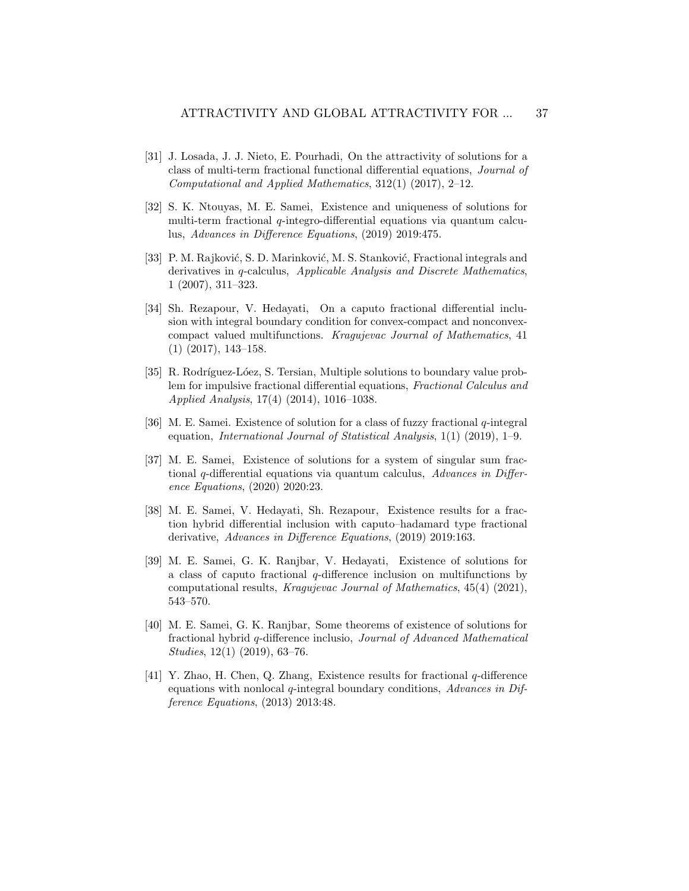- <span id="page-36-4"></span>[31] J. Losada, J. J. Nieto, E. Pourhadi, On the attractivity of solutions for a class of multi-term fractional functional differential equations, Journal of Computational and Applied Mathematics, 312(1) (2017), 2–12.
- <span id="page-36-1"></span>[32] S. K. Ntouyas, M. E. Samei, Existence and uniqueness of solutions for multi-term fractional  $q$ -integro-differential equations via quantum calculus, Advances in Difference Equations, (2019) 2019:475.
- <span id="page-36-0"></span>[33] P. M. Rajković, S. D. Marinković, M. S. Stanković, Fractional integrals and derivatives in q-calculus, Applicable Analysis and Discrete Mathematics, 1 (2007), 311–323.
- <span id="page-36-2"></span>[34] Sh. Rezapour, V. Hedayati, On a caputo fractional differential inclusion with integral boundary condition for convex-compact and nonconvexcompact valued multifunctions. Kragujevac Journal of Mathematics, 41 (1) (2017), 143–158.
- <span id="page-36-10"></span>[35] R. Rodríguez-Lóez, S. Tersian, Multiple solutions to boundary value problem for impulsive fractional differential equations, Fractional Calculus and Applied Analysis, 17(4) (2014), 1016–1038.
- <span id="page-36-7"></span>[36] M. E. Samei. Existence of solution for a class of fuzzy fractional q-integral equation, International Journal of Statistical Analysis, 1(1) (2019), 1–9.
- <span id="page-36-8"></span>[37] M. E. Samei, Existence of solutions for a system of singular sum fractional q-differential equations via quantum calculus, Advances in Difference Equations, (2020) 2020:23.
- <span id="page-36-3"></span>[38] M. E. Samei, V. Hedayati, Sh. Rezapour, Existence results for a fraction hybrid differential inclusion with caputo–hadamard type fractional derivative, Advances in Difference Equations, (2019) 2019:163.
- <span id="page-36-9"></span>[39] M. E. Samei, G. K. Ranjbar, V. Hedayati, Existence of solutions for a class of caputo fractional q-difference inclusion on multifunctions by computational results, Kragujevac Journal of Mathematics, 45(4) (2021), 543–570.
- <span id="page-36-6"></span>[40] M. E. Samei, G. K. Ranjbar, Some theorems of existence of solutions for fractional hybrid q-difference inclusio, Journal of Advanced Mathematical Studies, 12(1) (2019), 63–76.
- <span id="page-36-5"></span>[41] Y. Zhao, H. Chen, Q. Zhang, Existence results for fractional q-difference equations with nonlocal  $q$ -integral boundary conditions, Advances in Difference Equations, (2013) 2013:48.